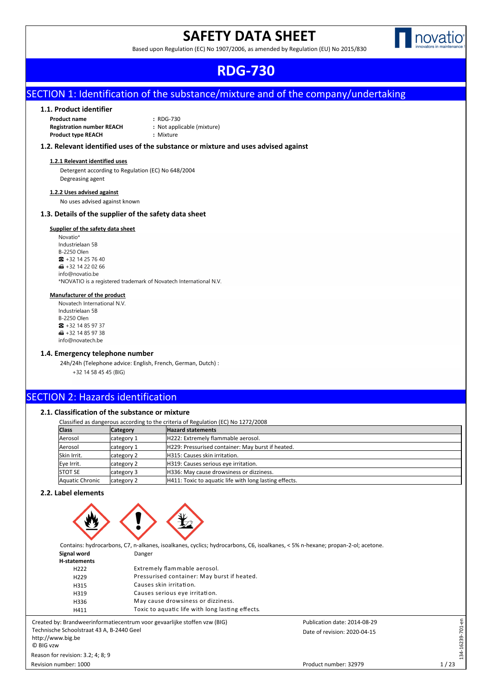# **SAFETY DATA SHEET**



Based upon Regulation (EC) No 1907/2006, as amended by Regulation (EU) No 2015/830

#### Publication date: 2014-08-29 Product number: 32979 Date of revision: 2020-04-15 Revision number: 1000 **RDG-730**

### SECTION 1: Identification of the substance/mixture and of the company/undertaking

#### **1.1. Product identifier**

**Product name :** RDG-730 **Registration number REACH :** Not applicable (mixture) **Product type REACH :** Mixture

#### **1.2. Relevant identified uses of the substance or mixture and uses advised against**

#### **1.2.1 Relevant identified uses**

Detergent according to Regulation (EC) No 648/2004 Degreasing agent

#### **1.2.2 Uses advised against**

No uses advised against known

#### **1.3. Details of the supplier of the safety data sheet**

#### **Supplier of the safety data sheet**

Novatio\* Industrielaan 5B **B-2250 Olen**  $\bullet$  +32 14 25 76 40 **dd** +32 14 22 02 66 info@novatio.be \*NOVATIO is a registered trademark of Novatech International N.V.

#### **Manufacturer of the product**

Novatech International N.V. Industrielaan 5B **B-2250 Olen**  $\bullet$  +32 14 85 97 37  $\blacksquare$  +32 14 85 97 38 info@novatech.be

#### **1.4. Emergency telephone number**

24h/24h (Telephone advice: English, French, German, Dutch) : +32 14 58 45 45 (BIG)

### SECTION 2: Hazards identification

#### **2.1. Classification of the substance or mixture**

| Classified as dangerous according to the criteria of Regulation (EC) No 1272/2008 |                 |                                                        |  |  |
|-----------------------------------------------------------------------------------|-----------------|--------------------------------------------------------|--|--|
| <b>Class</b>                                                                      | <b>Category</b> | <b>Hazard statements</b>                               |  |  |
| Aerosol                                                                           | category 1      | H222: Extremely flammable aerosol.                     |  |  |
| Aerosol                                                                           | category 1      | H229: Pressurised container: May burst if heated.      |  |  |
| Skin Irrit.                                                                       | category 2      | H315: Causes skin irritation.                          |  |  |
| Eye Irrit.                                                                        | category 2      | H319: Causes serious eye irritation.                   |  |  |
| <b>STOT SE</b>                                                                    | category 3      | H336: May cause drowsiness or dizziness.               |  |  |
| Aquatic Chronic                                                                   | category 2      | H411: Toxic to aquatic life with long lasting effects. |  |  |

#### **2.2. Label elements**



|                  | Contains: hydrocarbons, C7, n-alkanes, isoalkanes, cyclics; hydrocarbons, C6, isoalkanes, < 5% n-hexane; propan-2-ol; acetone. |
|------------------|--------------------------------------------------------------------------------------------------------------------------------|
| Signal word      | Danger                                                                                                                         |
| H-statements     |                                                                                                                                |
| H <sub>222</sub> | Extremely flammable aerosol.                                                                                                   |
| H <sub>229</sub> | Pressurised container: May burst if heated.                                                                                    |
| H315             | Causes skin irritation.                                                                                                        |
| H319             | Causes serious eye irritation.                                                                                                 |
| H336             | May cause drowsiness or dizziness.                                                                                             |
| H411             | Toxic to aquatic life with long lasting effects.                                                                               |

Created by: Brandweerinformatiecentrum voor gevaarlijke stoffen vzw (BIG) Technische Schoolstraat 43 A, B-2440 Geel http://www.big.be © BIG vzw

Revision number: 1000 Reason for revision: 3.2; 4; 8; 9

Product number: 32979

Date of revision: 2020-04-15 Publication date: 2014-08-29 134-16239-701-en

134-16239-701-en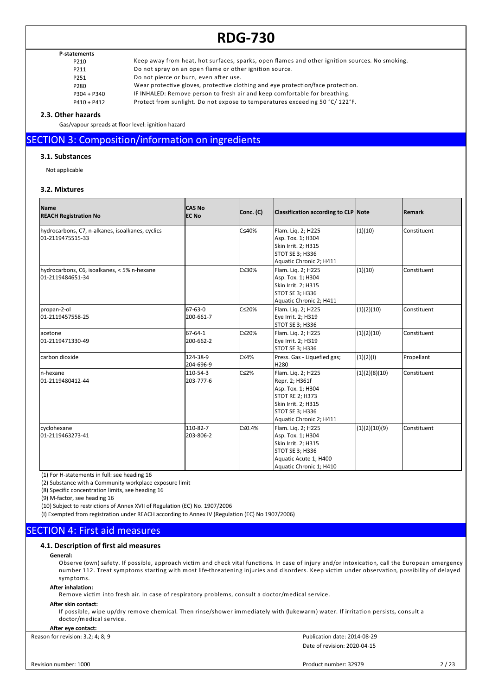### **P-statements**

P210 Keep away from heat, hot surfaces, sparks, open flames and other ignition sources. No smoking.<br>P211 Do not spray on an open flame or other ignition source. Do not spray on an open flame or other ignition source. P251 Do not pierce or burn, even after use.<br>P280 Wear protective gloves, protective clo Wear protective gloves, protective clothing and eye protection/face protection. P304 + P340 IF INHALED: Remove person to fresh air and keep comfortable for breathing.

P410 + P412 Protect from sunlight. Do not expose to temperatures exceeding 50 °C/ 122°F.

#### **2.3. Other hazards**

Gas/vapour spreads at floor level: ignition hazard

### SECTION 3: Composition/information on ingredients

#### **3.1. Substances**

Not applicable

#### **3.2. Mixtures**

| <b>Name</b><br><b>REACH Registration No</b>                          | <b>CAS No</b><br><b>EC No</b> | Conc. (C) | <b>Classification according to CLP Note</b>                                                                                                              |               | <b>Remark</b> |
|----------------------------------------------------------------------|-------------------------------|-----------|----------------------------------------------------------------------------------------------------------------------------------------------------------|---------------|---------------|
| hydrocarbons, C7, n-alkanes, isoalkanes, cyclics<br>01-2119475515-33 |                               | C≤40%     | Flam. Liq. 2; H225<br>Asp. Tox. 1; H304<br>Skin Irrit. 2; H315<br>STOT SE 3; H336<br>Aquatic Chronic 2; H411                                             | (1)(10)       | Constituent   |
| hydrocarbons, C6, isoalkanes, < 5% n-hexane<br>01-2119484651-34      |                               | C≤30%     | Flam. Lig. 2; H225<br>Asp. Tox. 1; H304<br>Skin Irrit. 2; H315<br>STOT SE 3; H336<br>Aquatic Chronic 2; H411                                             | (1)(10)       | Constituent   |
| propan-2-ol<br>01-2119457558-25                                      | 67-63-0<br>200-661-7          | lC≤20%    | Flam. Lig. 2; H225<br>Eye Irrit. 2; H319<br>STOT SE 3; H336                                                                                              | (1)(2)(10)    | Constituent   |
| lacetone<br>01-2119471330-49                                         | 67-64-1<br>200-662-2          | C≤20%     | Flam. Lig. 2; H225<br>Eye Irrit. 2; H319<br>STOT SE 3; H336                                                                                              | (1)(2)(10)    | Constituent   |
| carbon dioxide                                                       | 124-38-9<br>204-696-9         | C≤4%      | Press. Gas - Liquefied gas;<br>H280                                                                                                                      | (1)(2)(1)     | Propellant    |
| ln-hexane<br>01-2119480412-44                                        | 110-54-3<br>203-777-6         | lC≤2%     | Flam. Lig. 2; H225<br>Repr. 2; H361f<br>Asp. Tox. 1; H304<br><b>STOT RE 2; H373</b><br>Skin Irrit. 2; H315<br>STOT SE 3; H336<br>Aquatic Chronic 2; H411 | (1)(2)(8)(10) | Constituent   |
| cyclohexane<br>01-2119463273-41                                      | 110-82-7<br>203-806-2         | lC≤0.4%   | Flam. Lig. 2; H225<br>Asp. Tox. 1; H304<br>Skin Irrit. 2; H315<br>STOT SE 3; H336<br>Aquatic Acute 1; H400<br>Aquatic Chronic 1; H410                    | (1)(2)(10)(9) | Constituent   |

(1) For H-statements in full: see heading 16

(2) Substance with a Community workplace exposure limit

(8) Specific concentration limits, see heading 16

(9) M-factor, see heading 16

(10) Subject to restrictions of Annex XVII of Regulation (EC) No. 1907/2006

(I) Exempted from registration under REACH according to Annex IV (Regulation (EC) No 1907/2006)

### SECTION 4: First aid measures

#### **4.1. Description of first aid measures**

#### **General:**

Observe (own) safety. If possible, approach victim and check vital functions. In case of injury and/or intoxication, call the European emergency number 112. Treat symptoms starting with most life-threatening injuries and disorders. Keep victim under observation, possibility of delayed symptoms.

#### **After inhalation:**

Remove victim into fresh air. In case of respiratory problems, consult a doctor/medical service.

#### **After skin contact:**

If possible, wipe up/dry remove chemical. Then rinse/shower immediately with (lukewarm) water. If irritation persists, consult a doctor/medical service.

#### **After eye contact:**

Reason for revision: 3.2; 4; 8; 9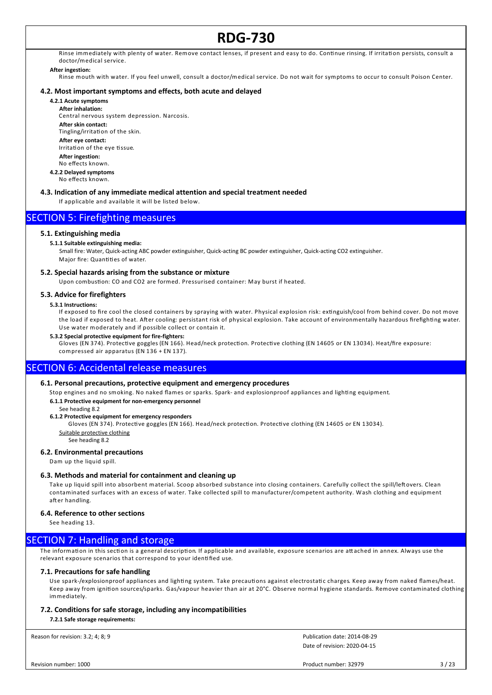Rinse immediately with plenty of water. Remove contact lenses, if present and easy to do. Continue rinsing. If irritation persists, consult a doctor/medical service.

#### **After ingestion:**

Rinse mouth with water. If you feel unwell, consult a doctor/medical service. Do not wait for symptoms to occur to consult Poison Center.

#### **4.2. Most important symptoms and effects, both acute and delayed**

#### **4.2.1 Acute symptoms**

**After inhalation:** Central nervous system depression. Narcosis.

**After skin contact:** Tingling/irritation of the skin. **After eye contact:** Irritation of the eye tissue.

**After ingestion:** No effects known.

- **4.2.2 Delayed symptoms**
- No effects known.

#### **4.3. Indication of any immediate medical attention and special treatment needed**

If applicable and available it will be listed below.

### SECTION 5: Firefighting measures

#### **5.1. Extinguishing media**

#### **5.1.1 Suitable extinguishing media:**

Small fire: Water, Quick-acting ABC powder extinguisher, Quick-acting BC powder extinguisher, Quick-acting CO2 extinguisher. Major fire: Quantities of water.

#### **5.2. Special hazards arising from the substance or mixture**

Upon combustion: CO and CO2 are formed. Pressurised container: May burst if heated.

#### **5.3. Advice for firefighters**

#### **5.3.1 Instructions:**

If exposed to fire cool the closed containers by spraying with water. Physical explosion risk: extinguish/cool from behind cover. Do not move the load if exposed to heat. After cooling: persistant risk of physical explosion. Take account of environmentally hazardous firefighting water. Use water moderately and if possible collect or contain it.

#### **5.3.2 Special protective equipment for fire-fighters:**

Gloves (EN 374). Protective goggles (EN 166). Head/neck protection. Protective clothing (EN 14605 or EN 13034). Heat/fire exposure: compressed air apparatus (EN 136 + EN 137).

### SECTION 6: Accidental release measures

#### **6.1. Personal precautions, protective equipment and emergency procedures**

Stop engines and no smoking. No naked flames or sparks. Spark- and explosionproof appliances and lighting equipment.

**6.1.1 Protective equipment for non-emergency personnel**

See heading 8.2

#### **6.1.2 Protective equipment for emergency responders**

Gloves (EN 374). Protective goggles (EN 166). Head/neck protection. Protective clothing (EN 14605 or EN 13034). Suitable protective clothing

See heading 8.2

#### **6.2. Environmental precautions**

Dam up the liquid spill.

#### **6.3. Methods and material for containment and cleaning up**

Take up liquid spill into absorbent material. Scoop absorbed substance into closing containers. Carefully collect the spill/leftovers. Clean contaminated surfaces with an excess of water. Take collected spill to manufacturer/competent authority. Wash clothing and equipment after handling.

#### **6.4. Reference to other sections**

See heading 13.

#### SECTION 7: Handling and storage

The information in this section is a general description. If applicable and available, exposure scenarios are attached in annex. Always use the relevant exposure scenarios that correspond to your identified use.

#### **7.1. Precautions for safe handling**

Use spark-/explosionproof appliances and lighting system. Take precautions against electrostatic charges. Keep away from naked flames/heat. Keep away from ignition sources/sparks. Gas/vapour heavier than air at 20°C. Observe normal hygiene standards. Remove contaminated clothing immediately.

#### **7.2. Conditions for safe storage, including any incompatibilities**

**7.2.1 Safe storage requirements:**

Reason for revision: 3.2; 4; 8; 9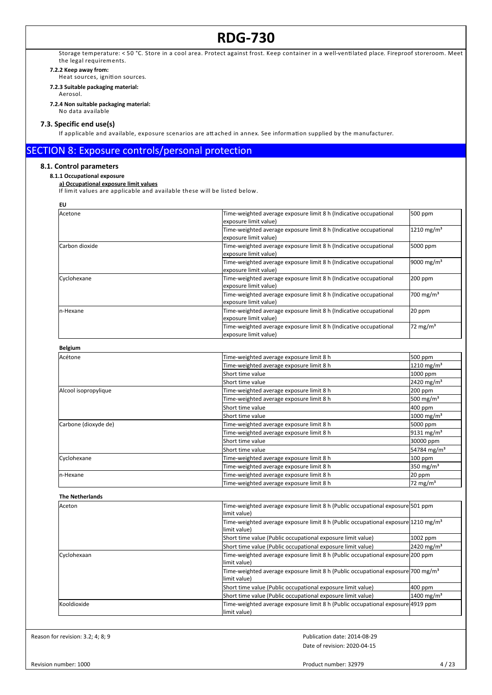Storage temperature: < 50 °C. Store in a cool area. Protect against frost. Keep container in a well-ventilated place. Fireproof storeroom. Meet the legal requirements.

#### **7.2.2 Keep away from:**

Heat sources, ignition sources.

- **7.2.3 Suitable packaging material:**
	- Aerosol.
- **7.2.4 Non suitable packaging material:** No data available

#### **7.3. Specific end use(s)**

If applicable and available, exposure scenarios are attached in annex. See information supplied by the manufacturer.

### SECTION 8: Exposure controls/personal protection

#### **8.1. Control parameters**

#### **8.1.1 Occupational exposure**

**a) Occupational exposure limit values**

If lim it values are applicable and available these will be listed below.

| I<br>×<br>۰. |
|--------------|
|--------------|

| ◡              |                                                                                                        |                          |
|----------------|--------------------------------------------------------------------------------------------------------|--------------------------|
| Acetone        | Time-weighted average exposure limit 8 h (Indicative occupational<br>exposure limit value)             | 500 ppm                  |
|                | Time-weighted average exposure limit 8 h (Indicative occupational<br>exposure limit value)             | $1210 \,\mathrm{mg/m^3}$ |
| Carbon dioxide | Time-weighted average exposure limit 8 h (Indicative occupational<br>5000 ppm<br>exposure limit value) |                          |
|                | Time-weighted average exposure limit 8 h (Indicative occupational<br>exposure limit value)             | 9000 mg/m <sup>3</sup>   |
| Cyclohexane    | Time-weighted average exposure limit 8 h (Indicative occupational<br>exposure limit value)             | 200 ppm                  |
|                | Time-weighted average exposure limit 8 h (Indicative occupational<br>exposure limit value)             | 700 mg/m <sup>3</sup>    |
| In-Hexane      | Time-weighted average exposure limit 8 h (Indicative occupational<br>exposure limit value)             | 20 ppm                   |
|                | Time-weighted average exposure limit 8 h (Indicative occupational<br>exposure limit value)             | $72 \text{ mg/m}^3$      |

| <b>Belgium</b>       |                                          |                          |
|----------------------|------------------------------------------|--------------------------|
| Acétone              | Time-weighted average exposure limit 8 h | 500 ppm                  |
|                      | Time-weighted average exposure limit 8 h | $1210 \,\mathrm{mg/m^3}$ |
|                      | Short time value                         | 1000 ppm                 |
|                      | lShort time value                        | $2420$ mg/m <sup>3</sup> |
| Alcool isopropylique | Time-weighted average exposure limit 8 h | 200 ppm                  |
|                      | Time-weighted average exposure limit 8 h | 500 mg/m <sup>3</sup>    |
|                      | Short time value                         | 400 ppm                  |
|                      | lShort time value                        | 1000 mg/m <sup>3</sup>   |
| Carbone (dioxyde de) | Time-weighted average exposure limit 8 h | 5000 ppm                 |
|                      | Time-weighted average exposure limit 8 h | $9131 \text{ mg/m}^3$    |
|                      | Short time value                         | 30000 ppm                |
|                      | lShort time value                        | 54784 mg/m <sup>3</sup>  |
| Cyclohexane          | Time-weighted average exposure limit 8 h | 100 ppm                  |
|                      | Time-weighted average exposure limit 8 h | 350 mg/m <sup>3</sup>    |
| In-Hexane            | Time-weighted average exposure limit 8 h | 20 ppm                   |
|                      | Time-weighted average exposure limit 8 h | 72 mg/m <sup>3</sup>     |

| <b>The Netherlands</b> |                                                                                                                |                          |
|------------------------|----------------------------------------------------------------------------------------------------------------|--------------------------|
| Aceton                 | Time-weighted average exposure limit 8 h (Public occupational exposure 501 ppm<br>llimit value)                |                          |
|                        | Time-weighted average exposure limit 8 h (Public occupational exposure $1210 \text{ mg/m}^3$<br>llimit value)  |                          |
|                        | Short time value (Public occupational exposure limit value)                                                    | $1002$ ppm               |
|                        | Short time value (Public occupational exposure limit value)                                                    | $2420$ mg/m <sup>3</sup> |
| Cyclohexaan            | Time-weighted average exposure limit 8 h (Public occupational exposure 200 ppm<br>llimit value)                |                          |
|                        | [Time-weighted average exposure limit 8 h (Public occupational exposure]700 mg/m <sup>3</sup><br>llimit value) |                          |
|                        | Short time value (Public occupational exposure limit value)                                                    | 400 ppm                  |
|                        | Short time value (Public occupational exposure limit value)                                                    | 1400 mg/m <sup>3</sup>   |
| Kooldioxide            | Time-weighted average exposure limit 8 h (Public occupational exposure 4919 ppm<br>llimit value)               |                          |

Reason for revision: 3.2; 4; 8; 9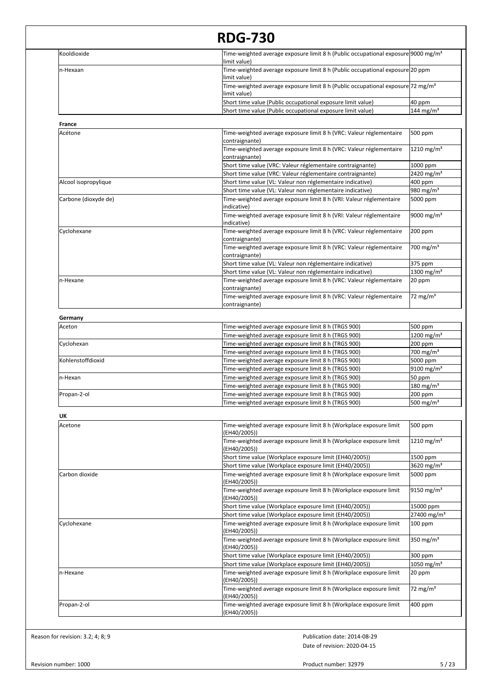| Kooldioxide          | Time-weighted average exposure limit 8 h (Public occupational exposure 9000 mg/m <sup>3</sup>                               |                                  |
|----------------------|-----------------------------------------------------------------------------------------------------------------------------|----------------------------------|
| n-Hexaan             | limit value)<br>Time-weighted average exposure limit 8 h (Public occupational exposure 20 ppm                               |                                  |
|                      | limit value)<br>Time-weighted average exposure limit 8 h (Public occupational exposure 72 mg/m <sup>3</sup><br>limit value) |                                  |
|                      | Short time value (Public occupational exposure limit value)                                                                 | 40 ppm                           |
|                      | Short time value (Public occupational exposure limit value)                                                                 | 144 mg/m <sup>3</sup>            |
| France               |                                                                                                                             |                                  |
| Acétone              | Time-weighted average exposure limit 8 h (VRC: Valeur réglementaire                                                         | 500 ppm                          |
|                      | contraignante)<br>Time-weighted average exposure limit 8 h (VRC: Valeur réglementaire                                       | $1210$ mg/m <sup>3</sup>         |
|                      | contraignante)                                                                                                              |                                  |
|                      | Short time value (VRC: Valeur réglementaire contraignante)                                                                  | 1000 ppm                         |
|                      | Short time value (VRC: Valeur réglementaire contraignante)                                                                  | 2420 mg/m <sup>3</sup>           |
| Alcool isopropylique | Short time value (VL: Valeur non réglementaire indicative)                                                                  | 400 ppm                          |
|                      | Short time value (VL: Valeur non réglementaire indicative)                                                                  | 980 mg/m <sup>3</sup>            |
| Carbone (dioxyde de) | Time-weighted average exposure limit 8 h (VRI: Valeur réglementaire<br>indicative)                                          | 5000 ppm                         |
|                      | Time-weighted average exposure limit 8 h (VRI: Valeur réglementaire<br>indicative)                                          | 9000 mg/m <sup>3</sup>           |
| Cyclohexane          | Time-weighted average exposure limit 8 h (VRC: Valeur réglementaire<br>contraignante)                                       | 200 ppm                          |
|                      | Time-weighted average exposure limit 8 h (VRC: Valeur réglementaire<br>contraignante)                                       | 700 mg/m $3$                     |
|                      | Short time value (VL: Valeur non réglementaire indicative)                                                                  | 375 ppm                          |
|                      | Short time value (VL: Valeur non réglementaire indicative)                                                                  | 1300 mg/m <sup>3</sup>           |
| n-Hexane             | Time-weighted average exposure limit 8 h (VRC: Valeur réglementaire<br>contraignante)                                       | 20 ppm                           |
|                      | Time-weighted average exposure limit 8 h (VRC: Valeur réglementaire<br>contraignante)                                       | 72 mg/m $3$                      |
| Germany              |                                                                                                                             |                                  |
| Aceton               | Time-weighted average exposure limit 8 h (TRGS 900)                                                                         | 500 ppm                          |
|                      | Time-weighted average exposure limit 8 h (TRGS 900)                                                                         | 1200 mg/m <sup>3</sup>           |
| Cyclohexan           | Time-weighted average exposure limit 8 h (TRGS 900)                                                                         | 200 ppm                          |
|                      | Time-weighted average exposure limit 8 h (TRGS 900)                                                                         | 700 mg/m $3$                     |
| Kohlenstoffdioxid    | Time-weighted average exposure limit 8 h (TRGS 900)                                                                         | 5000 ppm                         |
|                      | Time-weighted average exposure limit 8 h (TRGS 900)                                                                         | 9100 mg/m <sup>3</sup>           |
| n-Hexan              | Time-weighted average exposure limit 8 h (TRGS 900)                                                                         | 50 ppm                           |
|                      | Time-weighted average exposure limit 8 h (TRGS 900)                                                                         | $180 \text{ mg/m}^3$             |
| Propan-2-ol          | Time-weighted average exposure limit 8 h (TRGS 900)<br>Time-weighted average exposure limit 8 h (TRGS 900)                  | 200 ppm<br>500 mg/m <sup>3</sup> |
|                      |                                                                                                                             |                                  |
| UK<br>Acetone        | Time-weighted average exposure limit 8 h (Workplace exposure limit                                                          | 500 ppm                          |
|                      | (EH40/2005))                                                                                                                |                                  |
|                      | Time-weighted average exposure limit 8 h (Workplace exposure limit<br>(EH40/2005))                                          | 1210 mg/m <sup>3</sup>           |
|                      | Short time value (Workplace exposure limit (EH40/2005))                                                                     | 1500 ppm                         |
|                      | Short time value (Workplace exposure limit (EH40/2005))                                                                     | 3620 mg/m <sup>3</sup>           |
| Carbon dioxide       | Time-weighted average exposure limit 8 h (Workplace exposure limit<br>(EH40/2005))                                          | 5000 ppm                         |
|                      | Time-weighted average exposure limit 8 h (Workplace exposure limit<br>(EH40/2005))                                          | 9150 mg/m <sup>3</sup>           |
|                      | Short time value (Workplace exposure limit (EH40/2005))                                                                     | 15000 ppm                        |
|                      | Short time value (Workplace exposure limit (EH40/2005))                                                                     | 27400 mg/m <sup>3</sup>          |
| Cyclohexane          | Time-weighted average exposure limit 8 h (Workplace exposure limit<br>(EH40/2005))                                          | 100 ppm                          |
|                      | Time-weighted average exposure limit 8 h (Workplace exposure limit<br>(EH40/2005))                                          | 350 mg/m <sup>3</sup>            |
|                      | Short time value (Workplace exposure limit (EH40/2005))                                                                     | 300 ppm                          |
|                      | Short time value (Workplace exposure limit (EH40/2005))                                                                     | 1050 mg/m <sup>3</sup>           |
| n-Hexane             | Time-weighted average exposure limit 8 h (Workplace exposure limit<br>(EH40/2005))                                          | 20 ppm                           |
|                      | Time-weighted average exposure limit 8 h (Workplace exposure limit<br>(EH40/2005))                                          | 72 mg/m <sup>3</sup>             |
| Propan-2-ol          | Time-weighted average exposure limit 8 h (Workplace exposure limit                                                          | 400 ppm                          |

Reason for revision: 3.2; 4; 8; 9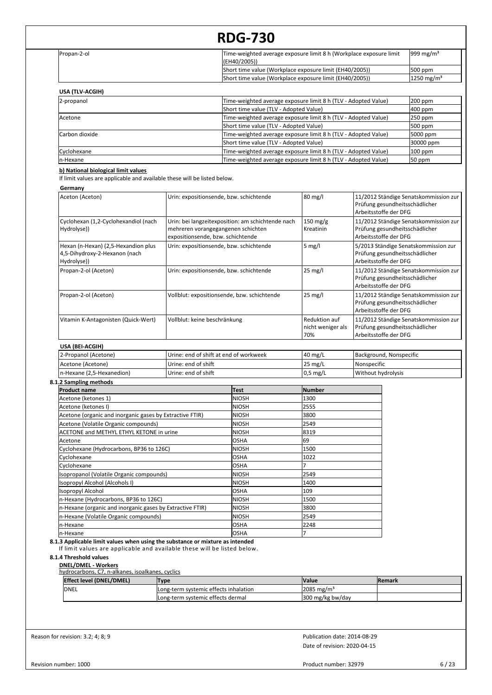| Propan-2-ol                                                                         |                                             | Time-weighted average exposure limit 8 h (Workplace exposure limit<br>(EH40/2005))                       |                                           |                                                                                                  | 999 mg/m <sup>3</sup>  |
|-------------------------------------------------------------------------------------|---------------------------------------------|----------------------------------------------------------------------------------------------------------|-------------------------------------------|--------------------------------------------------------------------------------------------------|------------------------|
|                                                                                     |                                             | Short time value (Workplace exposure limit (EH40/2005))                                                  |                                           |                                                                                                  | 500 ppm                |
|                                                                                     |                                             | Short time value (Workplace exposure limit (EH40/2005))                                                  |                                           |                                                                                                  | 1250 mg/m <sup>3</sup> |
| USA (TLV-ACGIH)                                                                     |                                             |                                                                                                          |                                           |                                                                                                  |                        |
| 2-propanol                                                                          |                                             | Time-weighted average exposure limit 8 h (TLV - Adopted Value)                                           |                                           |                                                                                                  | 200 ppm                |
|                                                                                     |                                             | Short time value (TLV - Adopted Value)                                                                   |                                           |                                                                                                  | 400 ppm                |
| Acetone                                                                             |                                             | Time-weighted average exposure limit 8 h (TLV - Adopted Value)                                           |                                           |                                                                                                  | 250 ppm                |
|                                                                                     |                                             | Short time value (TLV - Adopted Value)                                                                   |                                           |                                                                                                  | 500 ppm                |
| Carbon dioxide                                                                      |                                             | Time-weighted average exposure limit 8 h (TLV - Adopted Value)                                           |                                           |                                                                                                  | 5000 ppm               |
| Cyclohexane                                                                         |                                             | Short time value (TLV - Adopted Value)<br>Time-weighted average exposure limit 8 h (TLV - Adopted Value) |                                           |                                                                                                  | 30000 ppm<br>100 ppm   |
| n-Hexane                                                                            |                                             | Time-weighted average exposure limit 8 h (TLV - Adopted Value)                                           |                                           |                                                                                                  | 50 ppm                 |
| b) National biological limit values                                                 |                                             |                                                                                                          |                                           |                                                                                                  |                        |
| If limit values are applicable and available these will be listed below.            |                                             |                                                                                                          |                                           |                                                                                                  |                        |
| Germany                                                                             |                                             |                                                                                                          |                                           |                                                                                                  |                        |
| Aceton (Aceton)                                                                     |                                             | Urin: expositionsende, bzw. schichtende                                                                  | 80 mg/l                                   | 11/2012 Ständige Senatskommission zur<br>Prüfung gesundheitsschädlicher<br>Arbeitsstoffe der DFG |                        |
| Cyclohexan (1,2-Cyclohexandiol (nach                                                |                                             | Urin: bei langzeitexposition: am schichtende nach                                                        | $150 \text{ mg/g}$                        | 11/2012 Ständige Senatskommission zur                                                            |                        |
| Hydrolyse))                                                                         | expositionsende, bzw. schichtende           | mehreren vorangegangenen schichten                                                                       | Kreatinin                                 | Prüfung gesundheitsschädlicher<br>Arbeitsstoffe der DFG                                          |                        |
| Hexan (n-Hexan) (2,5-Hexandion plus<br>4,5-Dihydroxy-2-Hexanon (nach<br>Hydrolyse)) |                                             | Urin: expositionsende, bzw. schichtende                                                                  | $5$ mg/l                                  | 5/2013 Ständige Senatskommission zur<br>Prüfung gesundheitsschädlicher<br>Arbeitsstoffe der DFG  |                        |
| Propan-2-ol (Aceton)                                                                | Urin: expositionsende, bzw. schichtende     |                                                                                                          | 25 mg/l                                   | 11/2012 Ständige Senatskommission zur<br>Prüfung gesundheitsschädlicher<br>Arbeitsstoffe der DFG |                        |
| Propan-2-ol (Aceton)                                                                | Vollblut: expositionsende, bzw. schichtende |                                                                                                          | $25$ mg/l                                 | 11/2012 Ständige Senatskommission zur<br>Prüfung gesundheitsschädlicher<br>Arbeitsstoffe der DFG |                        |
| Vitamin K-Antagonisten (Quick-Wert)                                                 | Vollblut: keine beschränkung                |                                                                                                          | Reduktion auf<br>nicht weniger als<br>70% | 11/2012 Ständige Senatskommission zur<br>Prüfung gesundheitsschädlicher<br>Arbeitsstoffe der DFG |                        |
| USA (BEI-ACGIH)                                                                     |                                             |                                                                                                          |                                           |                                                                                                  |                        |
| 2-Propanol (Acetone)                                                                |                                             | Urine: end of shift at end of workweek                                                                   | 40 mg/L                                   | Background, Nonspecific                                                                          |                        |
| Acetone (Acetone)                                                                   | Urine: end of shift                         |                                                                                                          | 25 mg/L                                   | Nonspecific                                                                                      |                        |
| n-Hexane (2,5-Hexanedion)                                                           | Urine: end of shift                         |                                                                                                          | $0,5$ mg/L                                | Without hydrolysis                                                                               |                        |
| 8.1.2 Sampling methods                                                              |                                             |                                                                                                          |                                           |                                                                                                  |                        |
| <b>Product name</b>                                                                 |                                             | Test                                                                                                     | Number                                    |                                                                                                  |                        |
| Acetone (ketones 1)                                                                 |                                             | <b>NIOSH</b>                                                                                             | 1300                                      |                                                                                                  |                        |
| Acetone (ketones I)                                                                 |                                             | <b>NIOSH</b>                                                                                             | 2555                                      |                                                                                                  |                        |
| Acetone (organic and inorganic gases by Extractive FTIR)                            |                                             | <b>NIOSH</b>                                                                                             | 3800                                      |                                                                                                  |                        |
| Acetone (Volatile Organic compounds)                                                |                                             | NIOSH                                                                                                    | 2549                                      |                                                                                                  |                        |
| ACETONE and METHYL ETHYL KETONE in urine                                            |                                             | <b>NIOSH</b>                                                                                             | 8319                                      |                                                                                                  |                        |
| Acetone                                                                             |                                             | <b>OSHA</b>                                                                                              | 69                                        |                                                                                                  |                        |
| Cyclohexane (Hydrocarbons, BP36 to 126C)                                            |                                             | <b>NIOSH</b>                                                                                             | 1500                                      |                                                                                                  |                        |
| Cyclohexane                                                                         |                                             | <b>OSHA</b>                                                                                              | 1022                                      |                                                                                                  |                        |
| Cyclohexane                                                                         |                                             | <b>OSHA</b><br>NIOSH                                                                                     | 2549                                      |                                                                                                  |                        |
| Isopropanol (Volatile Organic compounds)<br>(Isopropyl Alcohol (Alcohols I          |                                             | NIOSH                                                                                                    | 1400                                      |                                                                                                  |                        |
| Isopropyl Alcohol                                                                   |                                             | <b>OSHA</b>                                                                                              | 109                                       |                                                                                                  |                        |
| n-Hexane (Hydrocarbons, BP36 to 126C)                                               |                                             | <b>NIOSH</b>                                                                                             | 1500                                      |                                                                                                  |                        |
| n-Hexane (organic and inorganic gases by Extractive FTIR)                           |                                             | <b>NIOSH</b>                                                                                             | 3800                                      |                                                                                                  |                        |
| n-Hexane (Volatile Organic compounds)                                               |                                             | <b>NIOSH</b>                                                                                             | 2549                                      |                                                                                                  |                        |
| n-Hexane                                                                            |                                             | OSHA                                                                                                     | 2248                                      |                                                                                                  |                        |
| n-Hexane                                                                            |                                             | <b>OSHA</b>                                                                                              | 7                                         |                                                                                                  |                        |
| 8.1.3 Applicable limit values when using the substance or mixture as intended       |                                             | If limit values are applicable and available these will be listed below.                                 |                                           |                                                                                                  |                        |

| <b>Effect level (DNEL/DMEL)</b> | <b>Type</b>                           | <b>Nalue</b>          | <b>IRemark</b> |
|---------------------------------|---------------------------------------|-----------------------|----------------|
| <b>DNEL</b>                     | Long-term systemic effects inhalation | $2085 \text{ mg/m}^3$ |                |
|                                 | Long-term systemic effects dermal     | 300 mg/kg bw/day      |                |

Reason for revision: 3.2; 4; 8; 9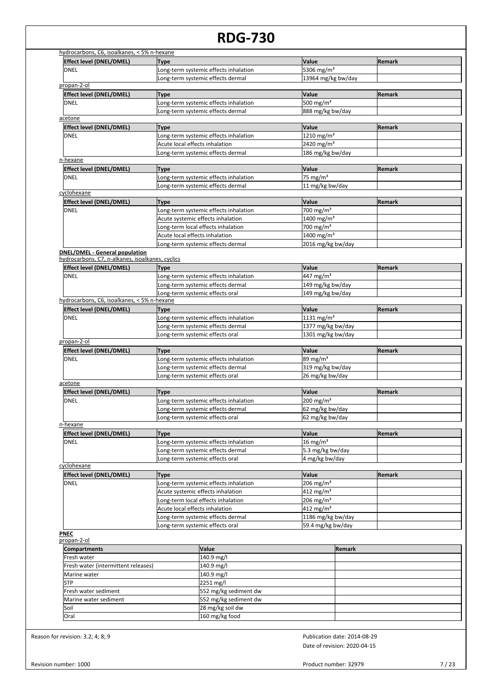|                                                   |                                                                                                                                                                                                                                                                                                                                                                                                                                                                                                                                                                                                                                                                                                                                                                                                   | <b>Remark</b>                                                                                                                                                                                                                                                                                                                                                                                                                            |
|---------------------------------------------------|---------------------------------------------------------------------------------------------------------------------------------------------------------------------------------------------------------------------------------------------------------------------------------------------------------------------------------------------------------------------------------------------------------------------------------------------------------------------------------------------------------------------------------------------------------------------------------------------------------------------------------------------------------------------------------------------------------------------------------------------------------------------------------------------------|------------------------------------------------------------------------------------------------------------------------------------------------------------------------------------------------------------------------------------------------------------------------------------------------------------------------------------------------------------------------------------------------------------------------------------------|
|                                                   |                                                                                                                                                                                                                                                                                                                                                                                                                                                                                                                                                                                                                                                                                                                                                                                                   |                                                                                                                                                                                                                                                                                                                                                                                                                                          |
|                                                   |                                                                                                                                                                                                                                                                                                                                                                                                                                                                                                                                                                                                                                                                                                                                                                                                   |                                                                                                                                                                                                                                                                                                                                                                                                                                          |
|                                                   |                                                                                                                                                                                                                                                                                                                                                                                                                                                                                                                                                                                                                                                                                                                                                                                                   |                                                                                                                                                                                                                                                                                                                                                                                                                                          |
|                                                   | Value                                                                                                                                                                                                                                                                                                                                                                                                                                                                                                                                                                                                                                                                                                                                                                                             | Remark                                                                                                                                                                                                                                                                                                                                                                                                                                   |
|                                                   |                                                                                                                                                                                                                                                                                                                                                                                                                                                                                                                                                                                                                                                                                                                                                                                                   |                                                                                                                                                                                                                                                                                                                                                                                                                                          |
| Long-term systemic effects dermal                 | 888 mg/kg bw/day                                                                                                                                                                                                                                                                                                                                                                                                                                                                                                                                                                                                                                                                                                                                                                                  |                                                                                                                                                                                                                                                                                                                                                                                                                                          |
|                                                   |                                                                                                                                                                                                                                                                                                                                                                                                                                                                                                                                                                                                                                                                                                                                                                                                   |                                                                                                                                                                                                                                                                                                                                                                                                                                          |
| <b>Type</b>                                       | Value                                                                                                                                                                                                                                                                                                                                                                                                                                                                                                                                                                                                                                                                                                                                                                                             | Remark                                                                                                                                                                                                                                                                                                                                                                                                                                   |
| Long-term systemic effects inhalation             | 1210 mg/m <sup>3</sup>                                                                                                                                                                                                                                                                                                                                                                                                                                                                                                                                                                                                                                                                                                                                                                            |                                                                                                                                                                                                                                                                                                                                                                                                                                          |
| Acute local effects inhalation                    |                                                                                                                                                                                                                                                                                                                                                                                                                                                                                                                                                                                                                                                                                                                                                                                                   |                                                                                                                                                                                                                                                                                                                                                                                                                                          |
|                                                   | 186 mg/kg bw/day                                                                                                                                                                                                                                                                                                                                                                                                                                                                                                                                                                                                                                                                                                                                                                                  |                                                                                                                                                                                                                                                                                                                                                                                                                                          |
|                                                   |                                                                                                                                                                                                                                                                                                                                                                                                                                                                                                                                                                                                                                                                                                                                                                                                   |                                                                                                                                                                                                                                                                                                                                                                                                                                          |
|                                                   |                                                                                                                                                                                                                                                                                                                                                                                                                                                                                                                                                                                                                                                                                                                                                                                                   | Remark                                                                                                                                                                                                                                                                                                                                                                                                                                   |
|                                                   |                                                                                                                                                                                                                                                                                                                                                                                                                                                                                                                                                                                                                                                                                                                                                                                                   |                                                                                                                                                                                                                                                                                                                                                                                                                                          |
|                                                   |                                                                                                                                                                                                                                                                                                                                                                                                                                                                                                                                                                                                                                                                                                                                                                                                   |                                                                                                                                                                                                                                                                                                                                                                                                                                          |
|                                                   |                                                                                                                                                                                                                                                                                                                                                                                                                                                                                                                                                                                                                                                                                                                                                                                                   |                                                                                                                                                                                                                                                                                                                                                                                                                                          |
|                                                   |                                                                                                                                                                                                                                                                                                                                                                                                                                                                                                                                                                                                                                                                                                                                                                                                   | <b>Remark</b>                                                                                                                                                                                                                                                                                                                                                                                                                            |
|                                                   |                                                                                                                                                                                                                                                                                                                                                                                                                                                                                                                                                                                                                                                                                                                                                                                                   |                                                                                                                                                                                                                                                                                                                                                                                                                                          |
|                                                   |                                                                                                                                                                                                                                                                                                                                                                                                                                                                                                                                                                                                                                                                                                                                                                                                   |                                                                                                                                                                                                                                                                                                                                                                                                                                          |
|                                                   |                                                                                                                                                                                                                                                                                                                                                                                                                                                                                                                                                                                                                                                                                                                                                                                                   |                                                                                                                                                                                                                                                                                                                                                                                                                                          |
|                                                   |                                                                                                                                                                                                                                                                                                                                                                                                                                                                                                                                                                                                                                                                                                                                                                                                   |                                                                                                                                                                                                                                                                                                                                                                                                                                          |
|                                                   |                                                                                                                                                                                                                                                                                                                                                                                                                                                                                                                                                                                                                                                                                                                                                                                                   |                                                                                                                                                                                                                                                                                                                                                                                                                                          |
| hydrocarbons, C7, n-alkanes, isoalkanes, cyclics  |                                                                                                                                                                                                                                                                                                                                                                                                                                                                                                                                                                                                                                                                                                                                                                                                   |                                                                                                                                                                                                                                                                                                                                                                                                                                          |
| <b>Type</b>                                       | Value                                                                                                                                                                                                                                                                                                                                                                                                                                                                                                                                                                                                                                                                                                                                                                                             | Remark                                                                                                                                                                                                                                                                                                                                                                                                                                   |
| Long-term systemic effects inhalation             | 447 mg/m <sup>3</sup>                                                                                                                                                                                                                                                                                                                                                                                                                                                                                                                                                                                                                                                                                                                                                                             |                                                                                                                                                                                                                                                                                                                                                                                                                                          |
| Long-term systemic effects dermal                 | 149 mg/kg bw/day                                                                                                                                                                                                                                                                                                                                                                                                                                                                                                                                                                                                                                                                                                                                                                                  |                                                                                                                                                                                                                                                                                                                                                                                                                                          |
| Long-term systemic effects oral                   | 149 mg/kg bw/day                                                                                                                                                                                                                                                                                                                                                                                                                                                                                                                                                                                                                                                                                                                                                                                  |                                                                                                                                                                                                                                                                                                                                                                                                                                          |
| hydrocarbons, C6, isoalkanes, < 5% n-hexane       |                                                                                                                                                                                                                                                                                                                                                                                                                                                                                                                                                                                                                                                                                                                                                                                                   |                                                                                                                                                                                                                                                                                                                                                                                                                                          |
| Type                                              | Value                                                                                                                                                                                                                                                                                                                                                                                                                                                                                                                                                                                                                                                                                                                                                                                             | Remark                                                                                                                                                                                                                                                                                                                                                                                                                                   |
| Long-term systemic effects inhalation             | 1131 mg/m <sup>3</sup>                                                                                                                                                                                                                                                                                                                                                                                                                                                                                                                                                                                                                                                                                                                                                                            |                                                                                                                                                                                                                                                                                                                                                                                                                                          |
| Long-term systemic effects dermal                 | 1377 mg/kg bw/day                                                                                                                                                                                                                                                                                                                                                                                                                                                                                                                                                                                                                                                                                                                                                                                 |                                                                                                                                                                                                                                                                                                                                                                                                                                          |
| Long-term systemic effects oral                   | 1301 mg/kg bw/day                                                                                                                                                                                                                                                                                                                                                                                                                                                                                                                                                                                                                                                                                                                                                                                 |                                                                                                                                                                                                                                                                                                                                                                                                                                          |
|                                                   |                                                                                                                                                                                                                                                                                                                                                                                                                                                                                                                                                                                                                                                                                                                                                                                                   |                                                                                                                                                                                                                                                                                                                                                                                                                                          |
| <b>Type</b>                                       |                                                                                                                                                                                                                                                                                                                                                                                                                                                                                                                                                                                                                                                                                                                                                                                                   | Remark                                                                                                                                                                                                                                                                                                                                                                                                                                   |
|                                                   |                                                                                                                                                                                                                                                                                                                                                                                                                                                                                                                                                                                                                                                                                                                                                                                                   |                                                                                                                                                                                                                                                                                                                                                                                                                                          |
| ong-term systemic effects dermal                  |                                                                                                                                                                                                                                                                                                                                                                                                                                                                                                                                                                                                                                                                                                                                                                                                   |                                                                                                                                                                                                                                                                                                                                                                                                                                          |
|                                                   |                                                                                                                                                                                                                                                                                                                                                                                                                                                                                                                                                                                                                                                                                                                                                                                                   |                                                                                                                                                                                                                                                                                                                                                                                                                                          |
|                                                   |                                                                                                                                                                                                                                                                                                                                                                                                                                                                                                                                                                                                                                                                                                                                                                                                   |                                                                                                                                                                                                                                                                                                                                                                                                                                          |
|                                                   |                                                                                                                                                                                                                                                                                                                                                                                                                                                                                                                                                                                                                                                                                                                                                                                                   | Remark                                                                                                                                                                                                                                                                                                                                                                                                                                   |
|                                                   |                                                                                                                                                                                                                                                                                                                                                                                                                                                                                                                                                                                                                                                                                                                                                                                                   |                                                                                                                                                                                                                                                                                                                                                                                                                                          |
|                                                   |                                                                                                                                                                                                                                                                                                                                                                                                                                                                                                                                                                                                                                                                                                                                                                                                   |                                                                                                                                                                                                                                                                                                                                                                                                                                          |
|                                                   |                                                                                                                                                                                                                                                                                                                                                                                                                                                                                                                                                                                                                                                                                                                                                                                                   |                                                                                                                                                                                                                                                                                                                                                                                                                                          |
|                                                   |                                                                                                                                                                                                                                                                                                                                                                                                                                                                                                                                                                                                                                                                                                                                                                                                   | Remark                                                                                                                                                                                                                                                                                                                                                                                                                                   |
|                                                   |                                                                                                                                                                                                                                                                                                                                                                                                                                                                                                                                                                                                                                                                                                                                                                                                   |                                                                                                                                                                                                                                                                                                                                                                                                                                          |
| <b>Type</b>                                       | Value                                                                                                                                                                                                                                                                                                                                                                                                                                                                                                                                                                                                                                                                                                                                                                                             |                                                                                                                                                                                                                                                                                                                                                                                                                                          |
| Long-term systemic effects inhalation             | $16$ mg/m <sup>3</sup>                                                                                                                                                                                                                                                                                                                                                                                                                                                                                                                                                                                                                                                                                                                                                                            |                                                                                                                                                                                                                                                                                                                                                                                                                                          |
| Long-term systemic effects dermal                 | 5.3 mg/kg bw/day                                                                                                                                                                                                                                                                                                                                                                                                                                                                                                                                                                                                                                                                                                                                                                                  |                                                                                                                                                                                                                                                                                                                                                                                                                                          |
| Long-term systemic effects oral                   | 4 mg/kg bw/day                                                                                                                                                                                                                                                                                                                                                                                                                                                                                                                                                                                                                                                                                                                                                                                    |                                                                                                                                                                                                                                                                                                                                                                                                                                          |
| <b>Type</b>                                       | Value                                                                                                                                                                                                                                                                                                                                                                                                                                                                                                                                                                                                                                                                                                                                                                                             | <b>Remark</b>                                                                                                                                                                                                                                                                                                                                                                                                                            |
| Long-term systemic effects inhalation             | 206 mg/m <sup>3</sup>                                                                                                                                                                                                                                                                                                                                                                                                                                                                                                                                                                                                                                                                                                                                                                             |                                                                                                                                                                                                                                                                                                                                                                                                                                          |
| Acute systemic effects inhalation                 | $412 \text{ mg/m}^3$                                                                                                                                                                                                                                                                                                                                                                                                                                                                                                                                                                                                                                                                                                                                                                              |                                                                                                                                                                                                                                                                                                                                                                                                                                          |
| Long-term local effects inhalation                | 206 mg/m <sup>3</sup>                                                                                                                                                                                                                                                                                                                                                                                                                                                                                                                                                                                                                                                                                                                                                                             |                                                                                                                                                                                                                                                                                                                                                                                                                                          |
| Acute local effects inhalation                    | $412 \text{ mg/m}^3$                                                                                                                                                                                                                                                                                                                                                                                                                                                                                                                                                                                                                                                                                                                                                                              |                                                                                                                                                                                                                                                                                                                                                                                                                                          |
| Long-term systemic effects dermal                 | 1186 mg/kg bw/day                                                                                                                                                                                                                                                                                                                                                                                                                                                                                                                                                                                                                                                                                                                                                                                 |                                                                                                                                                                                                                                                                                                                                                                                                                                          |
| Long-term systemic effects oral                   | 59.4 mg/kg bw/day                                                                                                                                                                                                                                                                                                                                                                                                                                                                                                                                                                                                                                                                                                                                                                                 |                                                                                                                                                                                                                                                                                                                                                                                                                                          |
|                                                   |                                                                                                                                                                                                                                                                                                                                                                                                                                                                                                                                                                                                                                                                                                                                                                                                   |                                                                                                                                                                                                                                                                                                                                                                                                                                          |
|                                                   |                                                                                                                                                                                                                                                                                                                                                                                                                                                                                                                                                                                                                                                                                                                                                                                                   |                                                                                                                                                                                                                                                                                                                                                                                                                                          |
| Value                                             | Remark                                                                                                                                                                                                                                                                                                                                                                                                                                                                                                                                                                                                                                                                                                                                                                                            |                                                                                                                                                                                                                                                                                                                                                                                                                                          |
| 140.9 mg/l                                        |                                                                                                                                                                                                                                                                                                                                                                                                                                                                                                                                                                                                                                                                                                                                                                                                   |                                                                                                                                                                                                                                                                                                                                                                                                                                          |
| 140.9 mg/l<br>Fresh water (intermittent releases) |                                                                                                                                                                                                                                                                                                                                                                                                                                                                                                                                                                                                                                                                                                                                                                                                   |                                                                                                                                                                                                                                                                                                                                                                                                                                          |
| 140.9 mg/l                                        |                                                                                                                                                                                                                                                                                                                                                                                                                                                                                                                                                                                                                                                                                                                                                                                                   |                                                                                                                                                                                                                                                                                                                                                                                                                                          |
| 2251 mg/l                                         |                                                                                                                                                                                                                                                                                                                                                                                                                                                                                                                                                                                                                                                                                                                                                                                                   |                                                                                                                                                                                                                                                                                                                                                                                                                                          |
| 552 mg/kg sediment dw                             |                                                                                                                                                                                                                                                                                                                                                                                                                                                                                                                                                                                                                                                                                                                                                                                                   |                                                                                                                                                                                                                                                                                                                                                                                                                                          |
| 552 mg/kg sediment dw<br>28 mg/kg soil dw         |                                                                                                                                                                                                                                                                                                                                                                                                                                                                                                                                                                                                                                                                                                                                                                                                   |                                                                                                                                                                                                                                                                                                                                                                                                                                          |
|                                                   | hydrocarbons, C6, isoalkanes, < 5% n-hexane<br><b>Type</b><br>Long-term systemic effects inhalation<br>Long-term systemic effects dermal<br><b>Type</b><br>Long-term systemic effects inhalation<br>Long-term systemic effects dermal<br><b>Type</b><br>Long-term systemic effects inhalation<br>Long-term systemic effects dermal<br><b>Type</b><br>Long-term systemic effects inhalation<br>Acute systemic effects inhalation<br>Long-term local effects inhalation<br>Acute local effects inhalation<br>Long-term systemic effects dermal<br><b>DNEL/DMEL - General population</b><br>Long-term systemic effects inhalation<br>Long-term systemic effects oral<br><b>Type</b><br>Long-term systemic effects inhalation<br>Long-term systemic effects dermal<br>Long-term systemic effects oral | Value<br>5306 mg/m <sup>3</sup><br>13964 mg/kg bw/day<br>500 mg/m <sup>3</sup><br>2420 mg/m <sup>3</sup><br>Value<br>$75 \text{ mg/m}^3$<br>11 mg/kg bw/day<br>Value<br>700 mg/m <sup>3</sup><br>1400 mg/m <sup>3</sup><br>700 mg/m $3$<br>1400 mg/m <sup>3</sup><br>2016 mg/kg bw/day<br>Value<br>89 mg/m <sup>3</sup><br>319 mg/kg bw/day<br>26 mg/kg bw/day<br>Value<br>$200 \,\mathrm{mg/m^3}$<br>62 mg/kg bw/day<br>62 mg/kg bw/day |

Reason for revision: 3.2; 4; 8; 9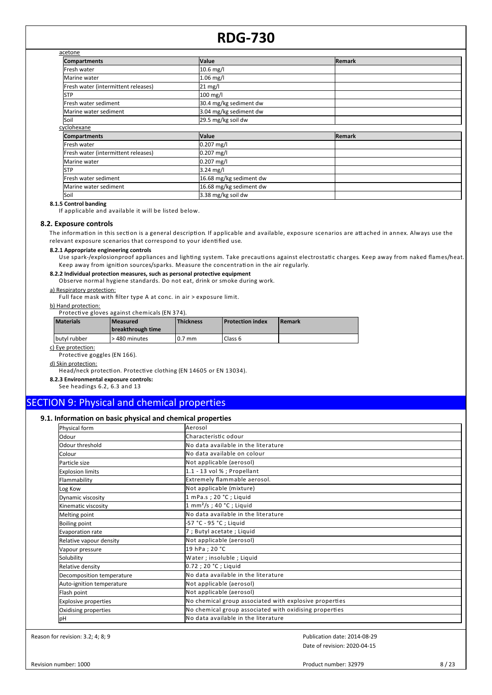| acetone                             |                         |        |
|-------------------------------------|-------------------------|--------|
| <b>Compartments</b>                 | <b>Value</b>            | Remark |
| Fresh water                         | $10.6$ mg/l             |        |
| Marine water                        | $1.06$ mg/l             |        |
| Fresh water (intermittent releases) | 21 mg/l                 |        |
| <b>STP</b>                          | 100 mg/l                |        |
| Fresh water sediment                | 30.4 mg/kg sediment dw  |        |
| Marine water sediment               | 3.04 mg/kg sediment dw  |        |
| Soil                                | 29.5 mg/kg soil dw      |        |
| cyclohexane                         |                         |        |
| <b>Compartments</b>                 | Value                   | Remark |
| Fresh water                         | $0.207$ mg/l            |        |
| Fresh water (intermittent releases) | $0.207$ mg/l            |        |
| Marine water                        | 0.207 mg/l              |        |
| <b>STP</b>                          | 3.24 mg/l               |        |
| Fresh water sediment                | 16.68 mg/kg sediment dw |        |
| Marine water sediment               | 16.68 mg/kg sediment dw |        |
| Soil                                | 3.38 mg/kg soil dw      |        |

**8.1.5 Control banding**

If applicable and available it will be listed below.

#### **8.2. Exposure controls**

The information in this section is a general description. If applicable and available, exposure scenarios are attached in annex. Always use the relevant exposure scenarios that correspond to your identified use.

#### **8.2.1 Appropriate engineering controls**

Use spark-/explosionproof appliances and lighting system. Take precautions against electrostatic charges. Keep away from naked flames/heat. Keep away from ignition sources/sparks. Measure the concentration in the air regularly.

#### **8.2.2 Individual protection measures, such as personal protective equipment**

Observe normal hygiene standards. Do not eat, drink or smoke during work.

#### a) Respiratory protection:

Full face mask with filter type A at conc. in air > exposure limit.

#### b) Hand protection:

**Protective gloves against chemicals (EN 374).** 

| <b>Materials</b> | l Measured<br>breakthrough time | <b>Thickness</b> | <b>Protection index</b> | <b>IRemark</b> |
|------------------|---------------------------------|------------------|-------------------------|----------------|
| butyl rubber     | > 480 minutes                   | $0.7$ mm         | Class 6                 |                |

c) Eye protection:

Protective goggles (EN 166).

#### d) Skin protection:

Head/neck protection. Protective clothing (EN 14605 or EN 13034).

**8.2.3 Environmental exposure controls:**

#### See headings 6.2, 6.3 and 13

### SECTION 9: Physical and chemical properties

#### **9.1. Information on basic physical and chemical properties**

| Physical form               | Aerosol                                                |
|-----------------------------|--------------------------------------------------------|
| lOdour                      | Characteristic odour                                   |
| Odour threshold             | No data available in the literature                    |
| Colour                      | <b>I</b> No data available on colour                   |
| Particle size               | Not applicable (aerosol)                               |
| <b>Explosion limits</b>     | $1.1 - 13$ vol % ; Propellant                          |
| Flammability                | Extremely flammable aerosol.                           |
| Log Kow                     | Not applicable (mixture)                               |
| Dynamic viscosity           | 1 mPa.s; 20 °C; Liquid                                 |
| Kinematic viscosity         | $1 \text{ mm}^2$ /s; 40 °C; Liquid                     |
| Melting point               | No data available in the literature                    |
| <b>Boiling point</b>        | -57 °C - 95 °C ; Liquid                                |
| Evaporation rate            | 7 ; Butyl acetate ; Liquid                             |
| Relative vapour density     | Not applicable (aerosol)                               |
| Vapour pressure             | 19 hPa ; 20 °C                                         |
| Solubility                  | Water; insoluble; Liquid                               |
| Relative density            | $0.72$ ; 20 °C; Liquid                                 |
| Decomposition temperature   | No data available in the literature                    |
| Auto-ignition temperature   | Not applicable (aerosol)                               |
| Flash point                 | Not applicable (aerosol)                               |
| <b>Explosive properties</b> | No chemical group associated with explosive properties |
| Oxidising properties        | No chemical group associated with oxidising properties |
| pH                          | No data available in the literature                    |

Reason for revision: 3.2; 4; 8; 9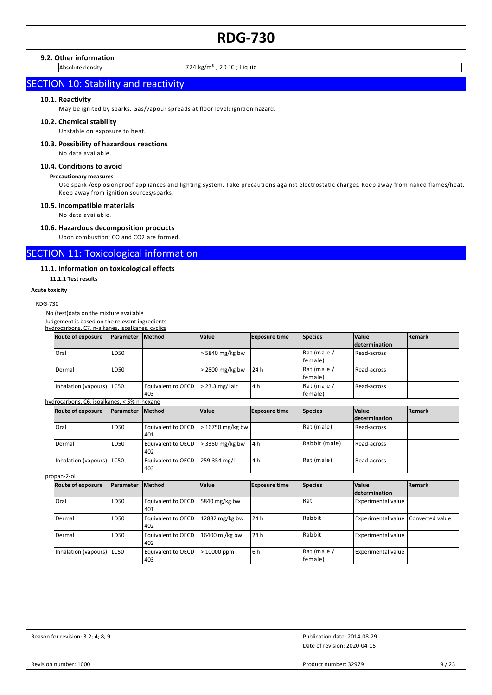#### **9.2. Other information**

Absolute density 724 kg/m<sup>3</sup> ; 20 °C ; Liquid

### **SECTION 10: Stability and reactivity**

#### **10.1. Reactivity**

May be ignited by sparks. Gas/vapour spreads at floor level: ignition hazard.

#### **10.2. Chemical stability**

Unstable on exposure to heat.

#### **10.3. Possibility of hazardous reactions**

No data available.

#### **10.4. Conditions to avoid**

#### **Precautionary measures**

Use spark-/explosionproof appliances and lighting system. Take precautions against electrostatic charges. Keep away from naked flames/heat. Keep away from ignition sources/sparks.

#### **10.5. Incompatible materials**

No data available.

#### **10.6. Hazardous decomposition products**

Upon combustion: CO and CO2 are formed.

### SECTION 11: Toxicological information

#### **11.1. Information on toxicological effects**

**11.1.1 Test results**

#### **Acute toxicity**

#### RDG-730

No (test)data on the mixture available

Judgement is based on the relevant ingredients hydrocarbons, C7, n-alkanes, isoalkanes, cyclics

| <b>Route of exposure</b>  | <b>Parameter</b> | <b>Method</b>                                  | <b>Value</b>    | <b>Exposure time</b> | <b>Species</b>          | <b>Value</b><br><i>determination</i> | <b>Remark</b> |
|---------------------------|------------------|------------------------------------------------|-----------------|----------------------|-------------------------|--------------------------------------|---------------|
| Oral                      | LD50             |                                                | > 5840 mg/kg bw |                      | Rat (male /<br>lfemale) | Read-across                          |               |
| Dermal                    | LD50             |                                                | $2800$ mg/kg bw | 24 h                 | Rat (male /<br>lfemale) | Read-across                          |               |
| Inhalation (vapours) LC50 |                  | Equivalent to OECD $\geq$ 23.3 mg/l air<br>403 |                 | 4 h                  | Rat (male /<br>lfemale) | Read-across                          |               |

### hydrocarbons, C6, isoalkanes, < 5% n-hexane

| <b>Route of exposure</b>  | <b>IParameter</b> | <b>Method</b>                                              | <b>Value</b> | <b>Exposure time</b> | <b>Species</b> | <b>Value</b>         | <b>Remark</b> |
|---------------------------|-------------------|------------------------------------------------------------|--------------|----------------------|----------------|----------------------|---------------|
|                           |                   |                                                            |              |                      |                | <b>determination</b> |               |
| Oral                      | LD50              | Equivalent to OECD $\vert$ > 16750 mg/kg bw $\vert$<br>401 |              |                      | Rat (male)     | Read-across          |               |
| Dermal                    | LD50              | Equivalent to OECD $\geq$ 3350 mg/kg bw<br>402             |              | 4 h                  | Rabbit (male)  | Read-across          |               |
| Inhalation (vapours) LC50 |                   | Equivalent to OECD 259.354 mg/l<br>403                     |              | 4 h                  | Rat (male)     | Read-across          |               |

#### propan-2-ol

| Route of exposure         | <b>IParameter</b> | <b>Method</b>                    | <b>Value</b>   | <b>Exposure time</b> | Species                 | <b>Value</b>                         | <b>Remark</b> |
|---------------------------|-------------------|----------------------------------|----------------|----------------------|-------------------------|--------------------------------------|---------------|
|                           |                   |                                  |                |                      |                         | <b>determination</b>                 |               |
| <b>Oral</b>               | LD50              | <b>Equivalent to OECD</b><br>401 | 5840 mg/kg bw  |                      | <b>I</b> Rat            | <b>Experimental value</b>            |               |
| Dermal                    | LD50              | <b>Equivalent to OECD</b><br>402 | 12882 mg/kg bw | 24 h                 | <b>I</b> Rabbit         | Experimental value   Converted value |               |
| Dermal                    | LD50              | <b>Equivalent to OECD</b><br>402 | 16400 ml/kg bw | 24 h                 | <b>I</b> Rabbit         | <b>Experimental value</b>            |               |
| Inhalation (vapours) LC50 |                   | <b>Equivalent to OECD</b><br>403 | > 10000 ppm    | 6 h                  | Rat (male /<br>lfemale) | <b>Experimental value</b>            |               |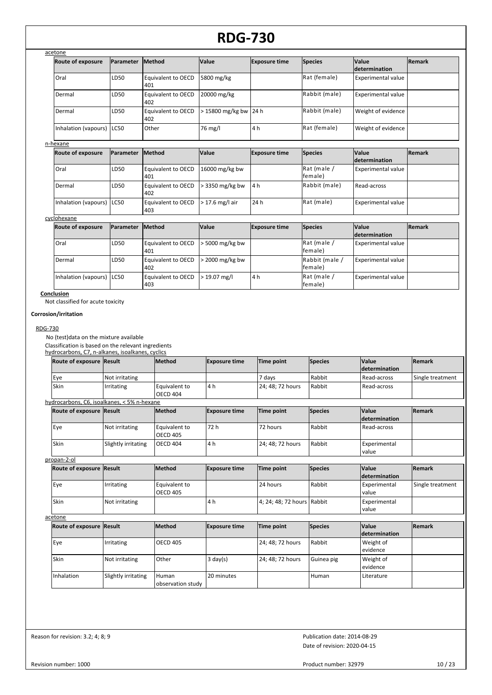| acetone                     |                  |                           |                       |                      |                |                    |               |
|-----------------------------|------------------|---------------------------|-----------------------|----------------------|----------------|--------------------|---------------|
| Route of exposure           | <b>Parameter</b> | <b>IMethod</b>            | <b>Value</b>          | <b>Exposure time</b> | <b>Species</b> | <b>Value</b>       | <b>Remark</b> |
|                             |                  |                           |                       |                      |                | determination      |               |
| Oral                        | LD50             | Equivalent to OECD<br>401 | 5800 mg/kg            |                      | Rat (female)   | Experimental value |               |
| Dermal                      | LD50             | Equivalent to OECD<br>402 | 20000 mg/kg           |                      | Rabbit (male)  | Experimental value |               |
| Dermal                      | LD50             | Equivalent to OECD<br>402 | > 15800 mg/kg bw 24 h |                      | Rabbit (male)  | Weight of evidence |               |
| Inhalation (vapours)   LC50 |                  | <b>Other</b>              | 76 mg/l               | 4 h                  | Rat (female)   | Weight of evidence |               |
| n-hexane                    |                  |                           |                       |                      |                |                    |               |

| <b>Route of exposure</b>  | <b>IParameter</b> | <b>Method</b>                            | <b>Value</b>         | <b>Exposure time</b> | Species                 | <b>Value</b><br><b>determination</b> | <b>Remark</b> |
|---------------------------|-------------------|------------------------------------------|----------------------|----------------------|-------------------------|--------------------------------------|---------------|
| Oral                      | LD <sub>50</sub>  | Equivalent to OECD 16000 mg/kg bw<br>401 |                      |                      | Rat (male /<br>lfemale) | <b>Experimental value</b>            |               |
| Dermal                    | LD <sub>50</sub>  | Equivalent to OECD<br>402                | $\geq$ 3350 mg/kg bw | 4 h                  | Rabbit (male)           | Read-across                          |               |
| Inhalation (vapours) LC50 |                   | Equivalent to OECD<br>403                | $>$ 17.6 mg/l air    | 24 h                 | Rat (male)              | <b>Experimental value</b>            |               |

### cyclohexane

| <b>Route of exposure</b>    | <b>Parameter</b> | <b>IMethod</b>            | <b>Value</b>          | <b>Exposure time</b> | Species                   | <b>Value</b>              | <b>Remark</b> |
|-----------------------------|------------------|---------------------------|-----------------------|----------------------|---------------------------|---------------------------|---------------|
|                             |                  |                           |                       |                      |                           | <b>determination</b>      |               |
| Oral                        | LD <sub>50</sub> | Equivalent to OECD<br>401 | 5000 mg/kg bw         |                      | Rat (male /<br>lfemale)   | <b>Experimental value</b> |               |
| Dermal                      | LD50             | Equivalent to OECD<br>402 | $\cdot$ 2000 mg/kg bw |                      | Rabbit (male /<br>female) | <b>Experimental value</b> |               |
| Inhalation (vapours)   LC50 |                  | Equivalent to OECD<br>403 | $>$ 19.07 mg/l        | 4 h                  | Rat (male /<br>lfemale)   | <b>Experimental value</b> |               |

#### **Conclusion**

Not classified for acute toxicity

#### **Corrosion/irritation**

#### RDG-730

No (test)data on the mixture available

Classification is based on the relevant ingredients<br>hydrocarbons, C7, n-alkanes, isoalkanes, cyclics

| hydrocarbons, C7, n-alkanes, isoalkanes, cyclics |                     |                                  |                      |                            |                |                                      |                  |
|--------------------------------------------------|---------------------|----------------------------------|----------------------|----------------------------|----------------|--------------------------------------|------------------|
| Route of exposure Result                         |                     | Method                           | <b>Exposure time</b> | <b>Time point</b>          | <b>Species</b> | <b>Value</b><br><i>determination</i> | Remark           |
| Eye                                              | Not irritating      |                                  |                      | 7 days                     | Rabbit         | Read-across                          | Single treatment |
| Skin                                             | Irritating          | Equivalent to<br><b>OECD 404</b> | 4 h                  | 24; 48; 72 hours           | Rabbit         | Read-across                          |                  |
| hydrocarbons, C6, isoalkanes, < 5% n-hexane      |                     |                                  |                      |                            |                |                                      |                  |
| Route of exposure Result                         |                     | Method                           | <b>Exposure time</b> | Time point                 | <b>Species</b> | <b>Value</b><br><i>determination</i> | <b>Remark</b>    |
| Eye                                              | Not irritating      | Equivalent to<br><b>OECD 405</b> | 72 h                 | 72 hours                   | Rabbit         | Read-across                          |                  |
| Skin                                             | Slightly irritating | <b>OECD 404</b>                  | 4 h                  | 24; 48; 72 hours           | Rabbit         | Experimental<br>value                |                  |
| propan-2-ol                                      |                     |                                  |                      |                            |                |                                      |                  |
| Route of exposure Result                         |                     | Method                           | <b>Exposure time</b> | Time point                 | Species        | <b>Value</b><br><b>determination</b> | Remark           |
| Eye                                              | Irritating          | Equivalent to<br><b>OECD 405</b> |                      | 24 hours                   | Rabbit         | Experimental<br>value                | Single treatment |
| Skin                                             | Not irritating      |                                  | 4 h                  | 4; 24; 48; 72 hours Rabbit |                | Experimental<br>value                |                  |
| acetone                                          |                     |                                  |                      |                            |                |                                      |                  |
| Route of exposure Result                         |                     | Method                           | <b>Exposure time</b> | Time point                 | <b>Species</b> | <b>Value</b><br><i>determination</i> | Remark           |
| Eye                                              | Irritating          | <b>OECD 405</b>                  |                      | 24; 48; 72 hours           | Rabbit         | Weight of<br>ovidonco                |                  |

| <b>Route of exposure Result</b> |                     | <b>Method</b>     | <b>Exposure time</b> | Time point       | <b>Species</b> | <b>Value</b>  | <b>Remark</b> |
|---------------------------------|---------------------|-------------------|----------------------|------------------|----------------|---------------|---------------|
|                                 |                     |                   |                      |                  |                | determination |               |
| Eye                             | Irritating          | <b>OECD 405</b>   |                      | 24; 48; 72 hours | Rabbit         | Weight of     |               |
|                                 |                     |                   |                      |                  |                | levidence     |               |
| Skin                            | Not irritating      | Other             | $3 \text{ day}(s)$   | 24; 48; 72 hours | Guinea pig     | Weight of     |               |
|                                 |                     |                   |                      |                  |                | levidence     |               |
| Inhalation                      | Slightly irritating | Human             | 20 minutes           |                  | Human          | Literature    |               |
|                                 |                     | observation study |                      |                  |                |               |               |

Reason for revision: 3.2; 4; 8; 9

Date of revision: 2020-04-15 Publication date: 2014-08-29

Revision number: 1000

Product number: 32979 10 / 23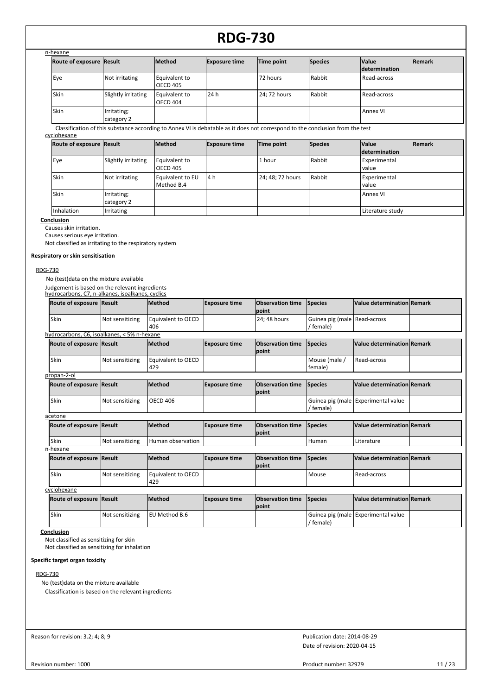| n-hexane                 |                           |                                  |                      |                                                                                                                               |                |                                      |               |
|--------------------------|---------------------------|----------------------------------|----------------------|-------------------------------------------------------------------------------------------------------------------------------|----------------|--------------------------------------|---------------|
| Route of exposure Result |                           | Method                           | <b>Exposure time</b> | Time point                                                                                                                    | <b>Species</b> | <b>Value</b><br><b>determination</b> | <b>Remark</b> |
| Eye                      | Not irritating            | Equivalent to<br><b>OECD 405</b> |                      | 72 hours                                                                                                                      | Rabbit         | Read-across                          |               |
| Skin                     | Slightly irritating       | Equivalent to<br><b>OECD 404</b> | 24h                  | 24; 72 hours                                                                                                                  | Rabbit         | Read-across                          |               |
| Skin                     | Irritating;<br>category 2 |                                  |                      |                                                                                                                               |                | <b>Annex VI</b>                      |               |
| cyclohexane              |                           |                                  |                      | Classification of this substance according to Annex VI is debatable as it does not correspond to the conclusion from the test |                |                                      |               |
| Route of exposure Result |                           | Method                           | <b>Exposure time</b> | Time point                                                                                                                    | <b>Species</b> | <b>Value</b><br><b>determination</b> | <b>Remark</b> |
| Eye                      | Slightly irritating       | Equivalent to<br><b>OECD 405</b> |                      | 1 hour                                                                                                                        | Rabbit         | Experimental<br>value                |               |
| Skin                     | Not irritating            | Equivalent to EU<br>Method B.4   | 4 h                  | 24; 48; 72 hours                                                                                                              | Rabbit         | Experimental<br>value                |               |
| Skin                     | Irritating;<br>category 2 |                                  |                      |                                                                                                                               |                | Annex VI                             |               |

Inhalation Irritating Literature study

**Conclusion**

Causes skin irritation.

Causes serious eye irritation.

Not classified as irritating to the respiratory system

#### **Respiratory or skin sensitisation**

#### RDG-730

No (test)data on the mixture available

Judgement is based on the relevant ingredients hydrocarbons, C7, n-alkanes, isoalkanes, cyclics

| Skin<br>Equivalent to OECD<br>Guinea pig (male   Read-across<br>24; 48 hours<br>Not sensitizing<br>406<br>/ female)<br>hydrocarbons, C6, isoalkanes, < 5% n-hexane<br>Value determination Remark<br><b>Observation time</b><br>Route of exposure Result<br><b>Method</b><br><b>Exposure time</b><br>Species<br><b>Ipoint</b><br>Skin<br>Equivalent to OECD<br>Not sensitizing<br>Mouse (male /<br>Read-across<br>429<br>female)<br>propan-2-ol<br><b>Method</b><br>Value determination Remark<br>Route of exposure Result<br><b>Exposure time</b><br><b>Observation time</b><br>Species<br>point<br>Skin<br><b>OECD 406</b><br>Guinea pig (male Experimental value<br>Not sensitizing<br>/ female)<br>acetone<br><b>Method</b><br><b>Observation time</b><br>Value determination Remark<br>Route of exposure Result<br>Species<br><b>Exposure time</b><br>Ipoint |      | Route of exposure Result | <b>Method</b>     | <b>Exposure time</b> | <b>Observation time</b><br>Ipoint | Species | Value determination Remark |  |
|------------------------------------------------------------------------------------------------------------------------------------------------------------------------------------------------------------------------------------------------------------------------------------------------------------------------------------------------------------------------------------------------------------------------------------------------------------------------------------------------------------------------------------------------------------------------------------------------------------------------------------------------------------------------------------------------------------------------------------------------------------------------------------------------------------------------------------------------------------------|------|--------------------------|-------------------|----------------------|-----------------------------------|---------|----------------------------|--|
|                                                                                                                                                                                                                                                                                                                                                                                                                                                                                                                                                                                                                                                                                                                                                                                                                                                                  |      |                          |                   |                      |                                   |         |                            |  |
|                                                                                                                                                                                                                                                                                                                                                                                                                                                                                                                                                                                                                                                                                                                                                                                                                                                                  |      |                          |                   |                      |                                   |         |                            |  |
|                                                                                                                                                                                                                                                                                                                                                                                                                                                                                                                                                                                                                                                                                                                                                                                                                                                                  |      |                          |                   |                      |                                   |         |                            |  |
|                                                                                                                                                                                                                                                                                                                                                                                                                                                                                                                                                                                                                                                                                                                                                                                                                                                                  |      |                          |                   |                      |                                   |         |                            |  |
|                                                                                                                                                                                                                                                                                                                                                                                                                                                                                                                                                                                                                                                                                                                                                                                                                                                                  |      |                          |                   |                      |                                   |         |                            |  |
|                                                                                                                                                                                                                                                                                                                                                                                                                                                                                                                                                                                                                                                                                                                                                                                                                                                                  |      |                          |                   |                      |                                   |         |                            |  |
|                                                                                                                                                                                                                                                                                                                                                                                                                                                                                                                                                                                                                                                                                                                                                                                                                                                                  |      |                          |                   |                      |                                   |         |                            |  |
|                                                                                                                                                                                                                                                                                                                                                                                                                                                                                                                                                                                                                                                                                                                                                                                                                                                                  |      |                          |                   |                      |                                   |         |                            |  |
|                                                                                                                                                                                                                                                                                                                                                                                                                                                                                                                                                                                                                                                                                                                                                                                                                                                                  |      |                          |                   |                      |                                   |         |                            |  |
|                                                                                                                                                                                                                                                                                                                                                                                                                                                                                                                                                                                                                                                                                                                                                                                                                                                                  | Skin | Not sensitizing          | Human observation |                      |                                   | Human   | Literature                 |  |
| n-hexane                                                                                                                                                                                                                                                                                                                                                                                                                                                                                                                                                                                                                                                                                                                                                                                                                                                         |      |                          |                   |                      |                                   |         |                            |  |
| Value determination Remark<br><b>Method</b><br><b>Observation time</b><br>Route of exposure Result<br><b>Exposure time</b><br>Species<br>point                                                                                                                                                                                                                                                                                                                                                                                                                                                                                                                                                                                                                                                                                                                   |      |                          |                   |                      |                                   |         |                            |  |
| Skin<br>Equivalent to OECD<br>Read-across<br>Mouse<br>Not sensitizing<br>429                                                                                                                                                                                                                                                                                                                                                                                                                                                                                                                                                                                                                                                                                                                                                                                     |      |                          |                   |                      |                                   |         |                            |  |
| cyclohexane                                                                                                                                                                                                                                                                                                                                                                                                                                                                                                                                                                                                                                                                                                                                                                                                                                                      |      |                          |                   |                      |                                   |         |                            |  |

| Route of exposure Result |                 | <b>IMethod</b>  | <b>Exposure time</b> | <b>Observation time Species</b><br><b>Ipoint</b> |           | Value determination Remark          |  |
|--------------------------|-----------------|-----------------|----------------------|--------------------------------------------------|-----------|-------------------------------------|--|
| 'Skin                    | Not sensitizing | I EU Method B.6 |                      |                                                  | ' female) | Guinea pig (male Experimental value |  |

#### **Conclusion**

Not classified as sensitizing for skin Not classified as sensitizing for inhalation

### **Specific target organ toxicity**

#### RDG-730

No (test)data on the mixture available Classification is based on the relevant ingredients

Reason for revision: 3.2; 4; 8; 9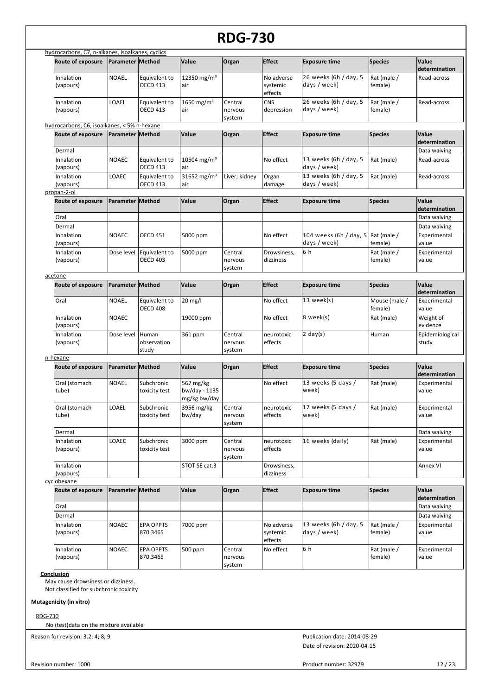|                                                  |                         |                                  |                                            | <b>RDG-730</b>               |                                   |                                                                                                                                                                                                                                                                                                                                                                                                                                                                                                                                                                                     |                          |                          |
|--------------------------------------------------|-------------------------|----------------------------------|--------------------------------------------|------------------------------|-----------------------------------|-------------------------------------------------------------------------------------------------------------------------------------------------------------------------------------------------------------------------------------------------------------------------------------------------------------------------------------------------------------------------------------------------------------------------------------------------------------------------------------------------------------------------------------------------------------------------------------|--------------------------|--------------------------|
| hydrocarbons, C7, n-alkanes, isoalkanes, cyclics |                         |                                  |                                            |                              |                                   |                                                                                                                                                                                                                                                                                                                                                                                                                                                                                                                                                                                     |                          |                          |
| Route of exposure                                | Parameter Method        |                                  | Value                                      | Organ                        | <b>Effect</b>                     | <b>Exposure time</b>                                                                                                                                                                                                                                                                                                                                                                                                                                                                                                                                                                | <b>Species</b>           | Value<br>determination   |
| Inhalation<br>(vapours)                          | <b>NOAEL</b>            | Equivalent to<br><b>OECD 413</b> | 12350 mg/m <sup>3</sup><br>air             |                              | No adverse<br>systemic<br>effects | 26 weeks (6h / day, 5<br>days / week)                                                                                                                                                                                                                                                                                                                                                                                                                                                                                                                                               | Rat (male /<br>female)   | Read-across              |
| Inhalation<br>(vapours)                          | LOAEL                   | Equivalent to<br><b>OECD 413</b> | 1650 mg/m <sup>3</sup><br>air              | Central<br>nervous<br>system | <b>CNS</b><br>depression          | 26 weeks (6h / day, 5<br>days / week)                                                                                                                                                                                                                                                                                                                                                                                                                                                                                                                                               | Rat (male /<br>female)   | Read-across              |
| hydrocarbons, C6, isoalkanes, < 5% n-hexane      |                         |                                  |                                            |                              |                                   |                                                                                                                                                                                                                                                                                                                                                                                                                                                                                                                                                                                     |                          |                          |
| Route of exposure                                | <b>Parameter Method</b> |                                  | Value                                      | Organ                        | <b>Effect</b>                     |                                                                                                                                                                                                                                                                                                                                                                                                                                                                                                                                                                                     |                          | determination            |
| Dermal                                           |                         |                                  |                                            |                              |                                   |                                                                                                                                                                                                                                                                                                                                                                                                                                                                                                                                                                                     |                          | Data waiving             |
| Inhalation<br>(vapours)                          | <b>NOAEC</b>            | Equivalent to<br><b>OECD 413</b> | 10504 mg/m <sup>3</sup><br>air             |                              | No effect                         | 13 weeks (6h / day, 5                                                                                                                                                                                                                                                                                                                                                                                                                                                                                                                                                               | Rat (male)               | Read-across              |
| Inhalation<br>(vapours)                          | LOAEC                   | Equivalent to<br><b>OECD 413</b> | 31652 mg/m <sup>3</sup><br>air             | Liver; kidney                | Organ                             | 13 weeks (6h / day, 5                                                                                                                                                                                                                                                                                                                                                                                                                                                                                                                                                               | Rat (male)               | Read-across              |
| propan-2-ol                                      |                         |                                  |                                            |                              |                                   |                                                                                                                                                                                                                                                                                                                                                                                                                                                                                                                                                                                     |                          |                          |
| Route of exposure                                | Parameter Method        |                                  | Value                                      | Organ                        | <b>Effect</b>                     |                                                                                                                                                                                                                                                                                                                                                                                                                                                                                                                                                                                     |                          |                          |
|                                                  |                         |                                  |                                            |                              |                                   |                                                                                                                                                                                                                                                                                                                                                                                                                                                                                                                                                                                     |                          | determination            |
| Oral                                             |                         |                                  |                                            |                              |                                   |                                                                                                                                                                                                                                                                                                                                                                                                                                                                                                                                                                                     |                          | Data waiving             |
| Dermal                                           |                         |                                  |                                            |                              |                                   |                                                                                                                                                                                                                                                                                                                                                                                                                                                                                                                                                                                     |                          | Data waiving             |
| Inhalation<br>(vapours)                          | <b>NOAEC</b>            | <b>OECD 451</b>                  | 5000 ppm                                   |                              | No effect                         |                                                                                                                                                                                                                                                                                                                                                                                                                                                                                                                                                                                     |                          | Experimental             |
| Inhalation                                       | Dose level              | Equivalent to                    | 5000 ppm                                   | Central                      |                                   | 6 h                                                                                                                                                                                                                                                                                                                                                                                                                                                                                                                                                                                 |                          |                          |
| (vapours)                                        |                         | <b>OECD 403</b>                  |                                            | nervous<br>system            | dizziness                         |                                                                                                                                                                                                                                                                                                                                                                                                                                                                                                                                                                                     | female)                  | value                    |
| acetone                                          |                         |                                  |                                            |                              |                                   |                                                                                                                                                                                                                                                                                                                                                                                                                                                                                                                                                                                     |                          |                          |
| Route of exposure                                | Parameter Method        |                                  | Value                                      | Organ                        | <b>Effect</b>                     | <b>Exposure time</b>                                                                                                                                                                                                                                                                                                                                                                                                                                                                                                                                                                | <b>Species</b>           | Value<br>determination   |
| Oral                                             | <b>NOAEL</b>            | Equivalent to<br><b>OECD 408</b> | $20$ mg/l                                  |                              | No effect                         | 13 week(s)                                                                                                                                                                                                                                                                                                                                                                                                                                                                                                                                                                          | Mouse (male /<br>female) | Experimental<br>value    |
| Inhalation<br>(vapours)                          | <b>NOAEC</b>            |                                  | 19000 ppm                                  |                              | No effect                         | 8 week(s)                                                                                                                                                                                                                                                                                                                                                                                                                                                                                                                                                                           | Rat (male)               | Weight of<br>evidence    |
| Inhalation<br>(vapours)                          | Dose level              | Human<br>observation<br>study    | 361 ppm                                    | Central<br>nervous<br>system | neurotoxic<br>effects             | 2 day(s)                                                                                                                                                                                                                                                                                                                                                                                                                                                                                                                                                                            | Human                    | Epidemiological<br>study |
| n-hexane                                         |                         |                                  |                                            |                              |                                   |                                                                                                                                                                                                                                                                                                                                                                                                                                                                                                                                                                                     |                          |                          |
| Route of exposure                                | <b>Parameter Method</b> |                                  | Value                                      | Organ                        | <b>Effect</b>                     | <b>Exposure time</b>                                                                                                                                                                                                                                                                                                                                                                                                                                                                                                                                                                | <b>Species</b>           | Value                    |
| Oral (stomach<br>tube)                           | <b>NOAEL</b>            | Subchronic<br>toxicity test      | 567 mg/kg<br>bw/day - 1135<br>mg/kg bw/day |                              | No effect                         | 13 weeks (5 days /<br>week)                                                                                                                                                                                                                                                                                                                                                                                                                                                                                                                                                         | Rat (male)               | Experimental<br>value    |
| Oral (stomach<br>tube)                           | LOAEL                   | Subchronic<br>toxicity test      | 3956 mg/kg<br>bw/day                       | Central<br>nervous<br>system | neurotoxic<br>effects             | 17 weeks (5 days /<br>week)                                                                                                                                                                                                                                                                                                                                                                                                                                                                                                                                                         | Rat (male)               | Experimental<br>value    |
| Dermal                                           |                         |                                  |                                            |                              |                                   |                                                                                                                                                                                                                                                                                                                                                                                                                                                                                                                                                                                     |                          |                          |
| Inhalation<br>(vapours)                          | LOAEC                   | Subchronic<br>toxicity test      | 3000 ppm                                   | Central<br>nervous<br>system | neurotoxic<br>effects             |                                                                                                                                                                                                                                                                                                                                                                                                                                                                                                                                                                                     | Rat (male)               | Experimental<br>value    |
| Inhalation<br>(vapours)                          |                         |                                  | STOT SE cat.3                              |                              | Drowsiness,<br>dizziness          |                                                                                                                                                                                                                                                                                                                                                                                                                                                                                                                                                                                     |                          | Annex VI                 |
| cyclohexane                                      |                         |                                  |                                            |                              |                                   |                                                                                                                                                                                                                                                                                                                                                                                                                                                                                                                                                                                     |                          |                          |
| <b>Route of exposure</b>                         | Parameter Method        |                                  | <b>Value</b>                               | Organ                        | <b>Effect</b>                     | Value<br><b>Exposure time</b><br><b>Species</b><br>days / week)<br>days / week)<br>damage<br>Value<br><b>Species</b><br><b>Exposure time</b><br>104 weeks (6h / day, 5 Rat (male /<br>days / week)<br>female)<br>value<br>Experimental<br>Drowsiness,<br>Rat (male /<br>determination<br>Data waiving<br>16 weeks (daily)<br>Value<br><b>Exposure time</b><br><b>Species</b><br>determination<br>Data waiving<br>Data waiving<br>13 weeks (6h / day, 5<br>Rat (male /<br>Experimental<br>days / week)<br>female)<br>value<br>6 h<br>Rat (male /<br>Experimental<br>female)<br>value |                          |                          |
| Oral                                             |                         |                                  |                                            |                              |                                   |                                                                                                                                                                                                                                                                                                                                                                                                                                                                                                                                                                                     |                          |                          |
| Dermal                                           |                         |                                  |                                            |                              |                                   |                                                                                                                                                                                                                                                                                                                                                                                                                                                                                                                                                                                     |                          |                          |
| Inhalation<br>(vapours)                          | NOAEC                   | <b>EPA OPPTS</b><br>870.3465     | 7000 ppm                                   |                              | No adverse<br>systemic<br>effects |                                                                                                                                                                                                                                                                                                                                                                                                                                                                                                                                                                                     |                          |                          |
| Inhalation<br>(vapours)                          | NOAEC                   | <b>EPA OPPTS</b><br>870.3465     | 500 ppm                                    | Central<br>nervous<br>system | No effect                         |                                                                                                                                                                                                                                                                                                                                                                                                                                                                                                                                                                                     |                          |                          |

### **Conclusion**

May cause drowsiness or dizziness. Not classified for subchronic toxicity

**Mutagenicity (in vitro)**

RDG-730

No (test)data on the mixture available

Reason for revision: 3.2; 4; 8; 9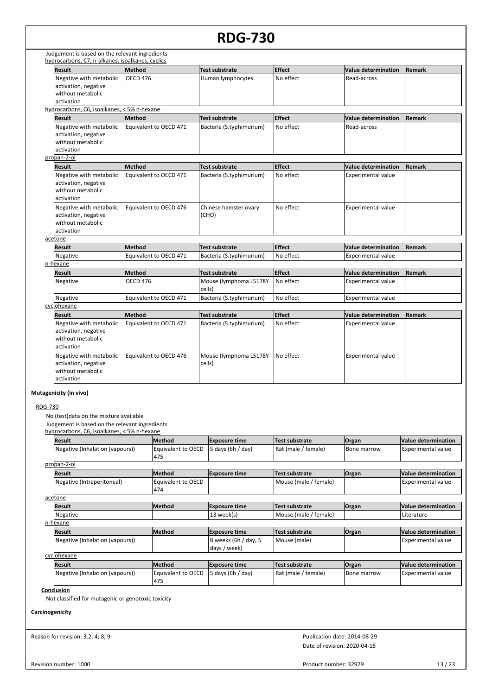#### **RDG-730** Judgement is based on the relevant ingredients hydrocarbons, C7, n-alkanes, isoalkanes, cyclics **Result Method Test substrate Effect Value determination Remark** Negative with metabolic activation, negative without metabolic activation OECD 476 **Human lymphocytes** No effect Read-across hydrocarbons, C6, isoalkanes, < 5% n-hexane **Result Method Test substrate Effect Value determination Remark** Negative with metabolic activation, negative without metabolic activation Equivalent to OECD 471 | Bacteria (S.typhimurium) | No effect | Read-across propan-2-ol **Result Method Test substrate Effect Value determination Remark** Negative with metabolic activation, negative without metabolic activation Equivalent to OECD 471 Bacteria (S.typhimurium) No effect Experimental value Negative with metabolic activation, negative without metabolic activation Equivalent to OECD 476 | Chinese hamster ovary (CHO) No effect **Experimental value** acetone **Result Method Test substrate Effect Value determination Remark** Negative Equivalent to OECD 471 Bacteria (S.typhimurium) No effect Experimental value n-hexane **Result Method Test substrate Effect Value determination Remark** Negative  $\begin{array}{|l|l|}\n\end{array}$  OECD 476 Mouse (lymphoma L5178Y cells) No effect **Experimental value**

| cyclohexane                                                                        |                        |                                  |               |                           |        |
|------------------------------------------------------------------------------------|------------------------|----------------------------------|---------------|---------------------------|--------|
| <b>Result</b>                                                                      | <b>Method</b>          | Test substrate                   | <b>Effect</b> | Value determination       | Remark |
| Negative with metabolic<br>activation, negative<br>without metabolic<br>activation | Equivalent to OECD 471 | Bacteria (S.typhimurium)         | No effect     | Experimental value        |        |
| Negative with metabolic<br>activation, negative<br>without metabolic<br>activation | Equivalent to OECD 476 | Mouse (lymphoma L5178Y<br>cells) | No effect     | <b>Experimental value</b> |        |

Negative **Equivalent to OECD 471** Bacteria (S.typhimurium) No effect **Experimental value** 

#### **Mutagenicity (in vivo)**

#### RDG-730

No (test)data on the mixture available

Judgement is based on the relevant ingredients

hydrocarbons, C6, isoalkanes, < 5% n-hexane **Result Method Exposure time Test substrate Organ Value determination** Equivalent to OECD 475 Negative (Inhalation (vapours)  $\begin{bmatrix} \text{Equivalent to OECD} \\ \text{5 days (6h / day)} \end{bmatrix}$  Rat (male / female) Bone marrow Experimental value propan-2-ol **Result Method Exposure time Test substrate Organ Value determination** Equivalent to OECD 474 Negative (Intraperitoneal) **Experimental value** Experimental value **Notice 19th** Mouse (male / female) **Experimental value** acetone **Result Method Exposure time Test substrate Organ Value determination** Negative 13 week(s) Mouse (male / female) Literature Literature Literature n-hexane **Result Method Exposure time Test substrate Organ Value determination** 8 weeks (6h / day, 5 days / week) Negative (Inhalation (vapours)) and the second of the second of the second of the second of the second of the second of the second of the second of the second of the second of the second of the second of the second of the cyclohexane **Result Method Exposure time Test substrate Organ Value determination** Equivalent to OECD 475 Negative (Inhalation (vapours) | Equivalent to OECD | 5 days (6h / day) | Rat (male / female) | Bone marrow | Experimental value

#### **Conclusion**

Not classified for mutagenic or genotoxic toxicity

#### **Carcinogenicity**

Reason for revision: 3.2; 4; 8; 9

Date of revision: 2020-04-15 Publication date: 2014-08-29

Revision number: 1000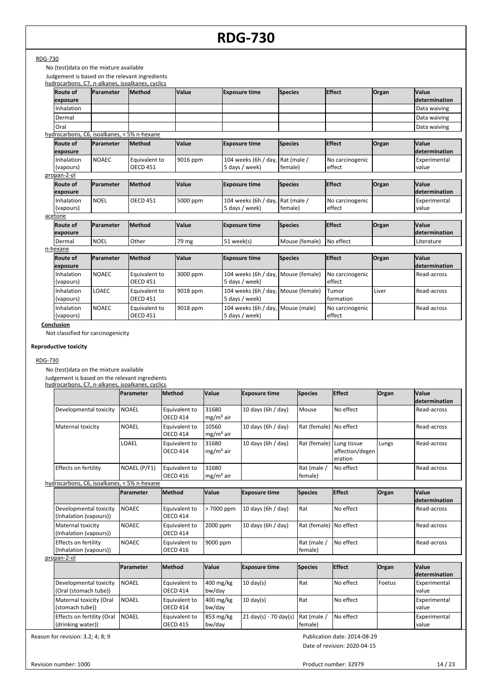No (test)data on the mixture available

Judgement is based on the relevant ingredients

|                                             |              | hydrocarbons, C7, n-alkanes, isoalkanes, cyclics |              |                                                       |                |                           |              |                        |
|---------------------------------------------|--------------|--------------------------------------------------|--------------|-------------------------------------------------------|----------------|---------------------------|--------------|------------------------|
| <b>Route of</b><br>exposure                 | Parameter    | Method                                           | Value        | <b>Exposure time</b>                                  | <b>Species</b> | <b>Effect</b>             | <b>Organ</b> | Value<br>determination |
| Inhalation                                  |              |                                                  |              |                                                       |                |                           |              | Data waiving           |
| Dermal                                      |              |                                                  |              |                                                       |                |                           |              | Data waiving           |
| Oral                                        |              |                                                  |              |                                                       |                |                           |              | Data waiving           |
| hydrocarbons, C6, isoalkanes, < 5% n-hexane |              |                                                  |              |                                                       |                |                           |              |                        |
| <b>Route of</b><br>exposure                 | Parameter    | Method                                           | Value        | <b>Exposure time</b>                                  | <b>Species</b> | <b>Effect</b>             | Organ        | Value<br>determination |
| Inhalation<br>(vapours)                     | <b>NOAEC</b> | Equivalent to<br><b>OECD 451</b>                 | 9016 ppm     | 104 weeks (6h / day, Rat (male /<br>5 days / week)    | female)        | No carcinogenic<br>effect |              | Experimental<br>value  |
| propan-2-ol                                 |              |                                                  |              |                                                       |                |                           |              |                        |
| <b>Route of</b><br>exposure                 | Parameter    | <b>Method</b>                                    | <b>Value</b> | <b>Exposure time</b>                                  | <b>Species</b> | <b>Effect</b>             | <b>Organ</b> | Value<br>determination |
| Inhalation<br>(vapours)                     | <b>NOEL</b>  | <b>OECD 451</b>                                  | 5000 ppm     | 104 weeks (6h / day, Rat (male /<br>5 days / week)    | female)        | No carcinogenic<br>effect |              | Experimental<br>value  |
| acetone                                     |              |                                                  |              |                                                       |                |                           |              |                        |
| <b>Route of</b><br>exposure                 | Parameter    | Method                                           | Value        | <b>Exposure time</b>                                  | <b>Species</b> | <b>Effect</b>             | Organ        | Value<br>determination |
| Dermal                                      | <b>NOEL</b>  | Other                                            | 79 mg        | 51 week(s)                                            | Mouse (female) | No effect                 |              | Literature             |
| n-hexane                                    |              |                                                  |              |                                                       |                |                           |              |                        |
| <b>Route of</b><br>exposure                 | Parameter    | Method                                           | <b>Value</b> | <b>Exposure time</b>                                  | <b>Species</b> | <b>Effect</b>             | Organ        | Value<br>determination |
| Inhalation<br>(vapours)                     | <b>NOAEC</b> | Equivalent to<br><b>OECD 451</b>                 | 3000 ppm     | 104 weeks (6h / day, Mouse (female)<br>5 days / week) |                | No carcinogenic<br>effect |              | Read-across            |
| Inhalation<br>(vapours)                     | LOAEC        | Equivalent to<br><b>OECD 451</b>                 | 9018 ppm     | 104 weeks (6h / day, Mouse (female)<br>5 days / week) |                | Tumor<br>formation        | Liver        | Read-across            |
| Inhalation<br>(vapours)                     | <b>NOAEC</b> | Equivalent to<br><b>OECD 451</b>                 | 9018 ppm     | 104 weeks (6h / day, Mouse (male)<br>5 days / week)   |                | No carcinogenic<br>effect |              | Read-across            |

**Conclusion**

Not classified for carcinogenicity

#### **Reproductive toxicity**

#### RDG-730

No (test)data on the mixture available

Judgement is based on the relevant ingredients hydrocarbons, C7, n-alkanes, isoalkanes, cyclics

|                                                  | <b>Parameter</b> | <b>Method</b>                    | Value                | <b>Exposure time</b>                    | <b>Species</b>         | <b>Effect</b>                             | Organ  | <b>Value</b><br>ldetermination       |
|--------------------------------------------------|------------------|----------------------------------|----------------------|-----------------------------------------|------------------------|-------------------------------------------|--------|--------------------------------------|
| Developmental toxicity                           | <b>NOAEL</b>     | Equivalent to<br><b>OECD 414</b> | 31680<br>$mg/m3$ air | 10 days (6h / day)                      | Mouse                  | No effect                                 |        | Read-across                          |
| Maternal toxicity                                | <b>NOAEL</b>     | Equivalent to<br><b>OECD 414</b> | 10560<br>$mg/m3$ air | 10 days (6h / day)                      | Rat (female) No effect |                                           |        | Read-across                          |
|                                                  | LOAEL            | Equivalent to<br><b>OECD 414</b> | 31680<br>$mg/m3$ air | 10 days (6h / day)                      | Rat (female)           | Lung tissue<br>affection/degen<br>eration | Lungs  | Read-across                          |
| Effects on fertility                             | NOAEL (P/F1)     | Equivalent to<br><b>OECD 416</b> | 31680<br>$mg/m3$ air |                                         | Rat (male /<br>female) | No effect                                 |        | Read-across                          |
| hydrocarbons, C6, isoalkanes, < 5% n-hexane      |                  |                                  |                      |                                         |                        |                                           |        |                                      |
|                                                  | <b>Parameter</b> | <b>Method</b>                    | Value                | <b>Exposure time</b>                    | <b>Species</b>         | <b>Effect</b>                             | Organ  | <b>Value</b><br><b>determination</b> |
| Developmental toxicity<br>(Inhalation (vapours)) | <b>NOAEC</b>     | Equivalent to<br><b>OECD 414</b> | > 7000 ppm           | 10 days (6h / day)                      | Rat                    | No effect                                 |        | Read-across                          |
| Maternal toxicity<br>(Inhalation (vapours))      | <b>NOAEC</b>     | Equivalent to<br><b>OECD 414</b> | 2000 ppm             | 10 days (6h / day)                      | Rat (female)           | No effect                                 |        | Read-across                          |
| Effects on fertility<br>(Inhalation (vapours))   | <b>NOAEC</b>     | Equivalent to<br><b>OECD 416</b> | 9000 ppm             |                                         | Rat (male /<br>female) | No effect                                 |        | Read-across                          |
| propan-2-ol                                      |                  |                                  |                      |                                         |                        |                                           |        |                                      |
|                                                  | <b>Parameter</b> | <b>Method</b>                    | Value                | <b>Exposure time</b>                    | <b>Species</b>         | <b>Effect</b>                             | Organ  | <b>Value</b><br>ldetermination       |
| Developmental toxicity<br>(Oral (stomach tube))  | <b>NOAEL</b>     | Equivalent to<br><b>OECD 414</b> | 400 mg/kg<br>bw/day  | $10 \text{ day}(s)$                     | Rat                    | No effect                                 | Foetus | Experimental<br>value                |
| Maternal toxicity (Oral<br>(stomach tube))       | <b>NOAEL</b>     | Equivalent to<br><b>OECD 414</b> | 400 mg/kg<br>bw/day  | $10 \text{ day(s)}$                     | Rat                    | No effect                                 |        | Experimental<br>value                |
| Effects on fertility (Oral                       | <b>NOAEL</b>     | Equivalent to                    | 853 mg/kg            | $21 \text{ day}(s) - 70 \text{ day}(s)$ | Rat (male /            | No effect                                 |        | Experimental                         |

OECD 415

bw/day Effects on fertility (Oral |NOAEL | Equivalent to | 853 mg/kg | 21 day(s) - 70 day(s) | Rat (male / | No effect

Reason for revision: 3.2; 4; 8; 9

(drinking water))

Publication date: 2014-08-29

Date of revision: 2020-04-15

female)

value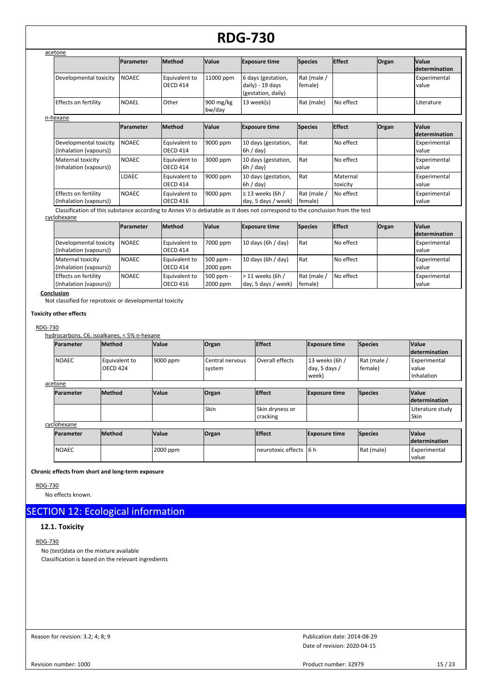| acetone                                          |                   |                                  |                       |                                                              |                        |                      |              |                                |
|--------------------------------------------------|-------------------|----------------------------------|-----------------------|--------------------------------------------------------------|------------------------|----------------------|--------------|--------------------------------|
|                                                  | <b>IParameter</b> | <b>Method</b>                    | <b>Value</b>          | <b>Exposure time</b>                                         | <b>Species</b>         | <b>Effect</b>        | Organ        | <b>Value</b><br>ldetermination |
| Developmental toxicity                           | <b>NOAEC</b>      | Equivalent to<br><b>OECD 414</b> | 11000 ppm             | 6 days (gestation,<br>daily) - 19 days<br>(gestation, daily) | Rat (male /<br>female) |                      |              | Experimental<br>value          |
| Effects on fertility                             | <b>NOAEL</b>      | Other                            | 900 $mg/kg$<br>bw/day | 13 week(s)                                                   | Rat (male)             | No effect            |              | Literature                     |
| n-hexane                                         |                   |                                  |                       |                                                              |                        |                      |              |                                |
|                                                  | <b>IParameter</b> | <b>Method</b>                    | Value                 | <b>Exposure time</b>                                         | <b>Species</b>         | <b>Effect</b>        | <b>Organ</b> | <b>Value</b><br>ldetermination |
| Developmental toxicity<br>(Inhalation (vapours)) | <b>NOAEC</b>      | Equivalent to<br><b>OECD 414</b> | 9000 ppm              | 10 days (gestation,<br>6h / day                              | Rat                    | No effect            |              | Experimental<br>value          |
| Maternal toxicity<br>(Inhalation (vapours))      | <b>NOAEC</b>      | Equivalent to<br>OECD 414        | 3000 ppm              | 10 days (gestation,<br>$6h$ / day)                           | Rat                    | No effect            |              | Experimental<br>value          |
|                                                  | LOAEC             | Equivalent to<br><b>OECD 414</b> | 9000 ppm              | 10 days (gestation,<br>$6h$ / day)                           | Rat                    | Maternal<br>toxicity |              | Experimental<br>value          |
| Effects on fertility<br>(Inhalation (vapours))   | <b>NOAEC</b>      | Equivalent to<br><b>OECD 416</b> | 9000 ppm              | $\geq$ 13 weeks (6h/<br>day, 5 days / week)                  | Rat (male /<br>female) | No effect            |              | Experimental<br>value          |

Classification of this substance according to Annex VI is debatable as it does not correspond to the conclusion from the test

cyclohexane

|                                                  | <b>IParameter</b> | <b>Method</b>                    | <b>Value</b>          | <b>Exposure time</b>                     | <b>Species</b>         | <b>IEffect</b> | <b>Organ</b> | <b>Value</b><br>determination |
|--------------------------------------------------|-------------------|----------------------------------|-----------------------|------------------------------------------|------------------------|----------------|--------------|-------------------------------|
| Developmental toxicity<br>(Inhalation (vapours)) | <b>INOAEC</b>     | l Eauivalent to<br>OECD 414      | 7000 ppm              | 10 days (6h / day)                       | l Rat                  | I No effect    |              | Experimental<br>I value       |
| Maternal toxicity<br>(Inhalation (vapours))      | <b>NOAEC</b>      | Equivalent to<br><b>OECD 414</b> | 500 ppm -<br>2000 ppm | 10 days (6h / day)                       | l Rat                  | No effect      |              | Experimental<br>I value       |
| Effects on fertility<br>(Inhalation (vapours))   | <b>NOAEC</b>      | Equivalent to<br>OECD 416        | 500 ppm -<br>2000 ppm | $>11$ weeks (6h /<br>day, 5 days / week) | Rat (male /<br>female) | No effect      |              | Experimental<br>I value       |

#### **Conclusion**

Not classified for reprotoxic or developmental toxicity

**Toxicity other effects**

#### RDG-730

hydrocarbons, C6, isoalkanes, < 5% n-hexane

| <b>Parameter</b> | <b>Method</b>                    | <b>Value</b> | Organ                     | <b>Effect</b>               | <b>Exposure time</b>                     | <b>Species</b>         | <b>Value</b><br><b>determination</b> |
|------------------|----------------------------------|--------------|---------------------------|-----------------------------|------------------------------------------|------------------------|--------------------------------------|
| <b>NOAEC</b>     | Equivalent to<br><b>OECD 424</b> | 9000 ppm     | Central nervous<br>system | Overall effects             | 13 weeks (6h /<br>day, 5 days /<br>week) | Rat (male /<br>female) | Experimental<br>value<br>Inhalation  |
| acetone          |                                  |              |                           |                             |                                          |                        |                                      |
| <b>Parameter</b> | <b>Method</b>                    | <b>Value</b> | Organ                     | <b>Effect</b>               | <b>Exposure time</b>                     | <b>Species</b>         | <b>Value</b><br><i>determination</i> |
|                  |                                  |              | Skin                      | Skin dryness or<br>cracking |                                          |                        | Literature study<br>Skin             |
| cyclohexane      |                                  |              |                           |                             |                                          |                        |                                      |
| Parameter        | <b>Method</b>                    | <b>Value</b> | Organ                     | <b>Effect</b>               | <b>Exposure time</b>                     | Species                | <b>Value</b><br><i>determination</i> |
| <b>NOAEC</b>     |                                  | 2000 ppm     |                           | neurotoxic effects          | l6 h                                     | Rat (male)             | Experimental<br>value                |

#### **Chronic effects from short and long-term exposure**

RDG-730

No effects known.

# SECTION 12: Ecological information

#### **12.1. Toxicity**

#### RDG-730

No (test)data on the mixture available Classification is based on the relevant ingredients

Reason for revision: 3.2; 4; 8; 9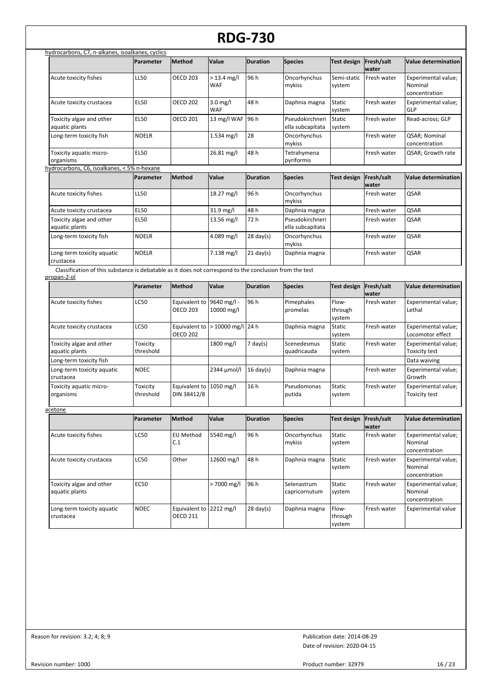|                                                                                                                        | Parameter             | Method                                       | Value                    | <b>Duration</b>     | <b>Species</b>                      | <b>Test design</b>         | Fresh/salt<br>water | <b>Value determination</b>                      |
|------------------------------------------------------------------------------------------------------------------------|-----------------------|----------------------------------------------|--------------------------|---------------------|-------------------------------------|----------------------------|---------------------|-------------------------------------------------|
| Acute toxicity fishes                                                                                                  | LL50                  | <b>OECD 203</b>                              | $> 13.4$ mg/l<br>WAF     | 96 h                | Oncorhynchus<br>mykiss              | Semi-static<br>system      | Fresh water         | Experimental value;<br>Nominal<br>concentration |
| Acute toxicity crustacea                                                                                               | <b>EL50</b>           | <b>OECD 202</b>                              | $3.0$ mg/l<br><b>WAF</b> | 48h                 | Daphnia magna                       | Static<br>system           | Fresh water         | Experimental value;<br>GLP                      |
| Toxicity algae and other<br>aquatic plants                                                                             | <b>EL50</b>           | <b>OECD 201</b>                              | 13 mg/l WAF              | 96 h                | Pseudokirchneri<br>ella subcapitata | Static<br>system           | Fresh water         | Read-across; GLP                                |
| Long-term toxicity fish                                                                                                | <b>NOELR</b>          |                                              | 1.534 mg/l               | 28                  | Oncorhynchus<br>mykiss              |                            | Fresh water         | QSAR; Nominal<br>concentration                  |
| Toxicity aquatic micro-<br>organisms                                                                                   | <b>EL50</b>           |                                              | 26.81 mg/l               | 48h                 | Tetrahymena<br>pyriformis           |                            | Fresh water         | QSAR; Growth rate                               |
| hydrocarbons, C6, isoalkanes, < 5% n-hexane                                                                            |                       |                                              |                          |                     |                                     |                            |                     |                                                 |
|                                                                                                                        | <b>Parameter</b>      | <b>Method</b>                                | Value                    | <b>Duration</b>     | <b>Species</b>                      | Test design                | Fresh/salt<br>water | <b>Value determination</b>                      |
| Acute toxicity fishes                                                                                                  | LL50                  |                                              | 18.27 mg/l               | 96 h                | Oncorhynchus<br>mykiss              |                            | Fresh water         | QSAR                                            |
| Acute toxicity crustacea                                                                                               | <b>EL50</b>           |                                              | 31.9 mg/l                | 48h                 | Daphnia magna                       |                            | Fresh water         | QSAR                                            |
| Toxicity algae and other<br>aquatic plants                                                                             | <b>EL50</b>           |                                              | 13.56 mg/l               | 72 h                | Pseudokirchneri<br>ella subcapitata |                            | Fresh water         | QSAR                                            |
| Long-term toxicity fish                                                                                                | <b>NOELR</b>          |                                              | 4.089 mg/l               | $28 \text{ day}(s)$ | Oncorhynchus<br>mykiss              |                            | Fresh water         | QSAR                                            |
| Long-term toxicity aquatic<br>crustacea                                                                                | <b>NOELR</b>          |                                              | 7.138 mg/l               | $21$ day(s)         | Daphnia magna                       |                            | Fresh water         | QSAR                                            |
| Classification of this substance is debatable as it does not correspond to the conclusion from the test<br>propan-2-ol |                       |                                              |                          |                     |                                     |                            |                     |                                                 |
|                                                                                                                        | Parameter             | Method                                       | Value                    | <b>Duration</b>     | <b>Species</b>                      | <b>Test design</b>         | Fresh/salt<br>water | <b>Value determination</b>                      |
| Acute toxicity fishes                                                                                                  | <b>LC50</b>           | Equivalent to 9640 mg/l -<br><b>OECD 203</b> | 10000 mg/l               | 96h                 | Pimephales<br>promelas              | Flow-<br>through<br>system | Fresh water         | Experimental value;<br>Lethal                   |
| Acute toxicity crustacea                                                                                               | LC50                  | Equivalent to<br><b>OECD 202</b>             | $>10000$ mg/l            | 24h                 | Daphnia magna                       | Static<br>system           | Fresh water         | Experimental value;<br>Locomotor effect         |
| Toxicity algae and other<br>aquatic plants                                                                             | Toxicity<br>threshold |                                              | 1800 mg/l                | $7$ day(s)          | Scenedesmus<br>quadricauda          | Static<br>system           | Fresh water         | Experimental value;<br><b>Toxicity test</b>     |
| Long-term toxicity fish                                                                                                |                       |                                              |                          |                     |                                     |                            |                     | Data waiving                                    |
| Long-term toxicity aquatic<br>crustacea                                                                                | <b>NOEC</b>           |                                              | 2344 µmol/l              | $16 \text{ day}(s)$ | Daphnia magna                       |                            | Fresh water         | Experimental value;<br>Growth                   |
| Toxicity aquatic micro-<br>organisms                                                                                   | Toxicity<br>threshold | Equivalent to 1050 mg/l<br>DIN 38412/8       |                          | 16h                 | Pseudomonas<br>putida               | Static<br>system           | Fresh water         | Experimental value;<br><b>Toxicity test</b>     |
| <u>acetone</u>                                                                                                         |                       |                                              |                          |                     |                                     |                            |                     |                                                 |
|                                                                                                                        | Parameter             | Method                                       | Value                    | Duration            | <b>Species</b>                      | Test design Fresh/salt     | water               | Value determination                             |
| Acute toxicity fishes                                                                                                  | LC50                  | <b>EU Method</b><br>C.1                      | 5540 mg/l                | 96 h                | Oncorhynchus<br>mykiss              | Static<br>system           | Fresh water         | Experimental value;<br>Nominal<br>concentration |
| Acute toxicity crustacea                                                                                               | LC50                  | Other                                        | 12600 mg/l               | 48 h                | Daphnia magna                       | Static<br>system           | Fresh water         | Experimental value;<br>Nominal<br>concentration |
| Toxicity algae and other<br>aquatic plants                                                                             | EC50                  |                                              | > 7000 mg/l              | 96 h                | Selenastrum<br>capricornutum        | Static<br>system           | Fresh water         | Experimental value;<br>Nominal<br>concentration |
| Long-term toxicity aquatic<br>crustacea                                                                                | NOEC                  | Equivalent to<br><b>OECD 211</b>             | $2212 \text{ mg/l}$      | $28 \text{ day}(s)$ | Daphnia magna                       | Flow-<br>through<br>system | Fresh water         | <b>Experimental value</b>                       |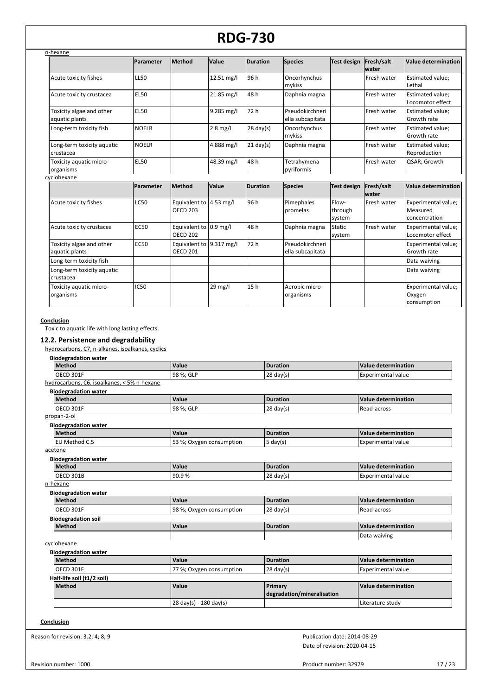| n-hexane                                   |              |                                             |            |                     |                                     |                            |                            |                                                  |
|--------------------------------------------|--------------|---------------------------------------------|------------|---------------------|-------------------------------------|----------------------------|----------------------------|--------------------------------------------------|
|                                            | Parameter    | Method                                      | Value      | <b>Duration</b>     | <b>Species</b>                      | <b>Test design</b>         | Fresh/salt<br><b>water</b> | <b>Value determination</b>                       |
| Acute toxicity fishes                      | <b>LL50</b>  |                                             | 12.51 mg/l | 96 h                | Oncorhynchus<br>mykiss              |                            | Fresh water                | Estimated value;<br>Lethal                       |
| Acute toxicity crustacea                   | <b>EL50</b>  |                                             | 21.85 mg/l | 48h                 | Daphnia magna                       |                            | Fresh water                | Estimated value;<br>Locomotor effect             |
| Toxicity algae and other<br>aquatic plants | <b>EL50</b>  |                                             | 9.285 mg/l | 72 h                | Pseudokirchneri<br>ella subcapitata |                            | Fresh water                | Estimated value;<br>Growth rate                  |
| Long-term toxicity fish                    | <b>NOELR</b> |                                             | $2.8$ mg/l | $28 \text{ day}(s)$ | Oncorhynchus<br>mykiss              |                            | Fresh water                | Estimated value;<br>Growth rate                  |
| Long-term toxicity aquatic<br>crustacea    | <b>NOELR</b> |                                             | 4.888 mg/l | $21 \text{ day}(s)$ | Daphnia magna                       |                            | Fresh water                | Estimated value;<br>Reproduction                 |
| Toxicity aquatic micro-<br>organisms       | <b>EL50</b>  |                                             | 48.39 mg/l | 48h                 | Tetrahymena<br>pyriformis           |                            | Fresh water                | QSAR; Growth                                     |
| cyclohexane                                |              |                                             |            |                     |                                     |                            |                            |                                                  |
|                                            | Parameter    | Method                                      | Value      | <b>Duration</b>     | <b>Species</b>                      | <b>Test design</b>         | Fresh/salt<br><b>water</b> | <b>Value determination</b>                       |
| Acute toxicity fishes                      | <b>LC50</b>  | Equivalent to 4.53 mg/l<br><b>OECD 203</b>  |            | 96 h                | Pimephales<br>promelas              | Flow-<br>through<br>system | Fresh water                | Experimental value;<br>Measured<br>concentration |
| Acute toxicity crustacea                   | <b>EC50</b>  | Equivalent to 0.9 mg/l<br><b>OECD 202</b>   |            | 48h                 | Daphnia magna                       | <b>Static</b><br>system    | Fresh water                | Experimental value;<br>Locomotor effect          |
| Toxicity algae and other<br>aquatic plants | <b>EC50</b>  | Equivalent to 9.317 mg/l<br><b>OECD 201</b> |            | 72 h                | Pseudokirchneri<br>ella subcapitata |                            |                            | Experimental value;<br>Growth rate               |
| Long-term toxicity fish                    |              |                                             |            |                     |                                     |                            |                            | Data waiving                                     |
| Long-term toxicity aquatic<br>crustacea    |              |                                             |            |                     |                                     |                            |                            | Data waiving                                     |
| Toxicity aquatic micro-<br>organisms       | <b>IC50</b>  |                                             | 29 mg/l    | 15h                 | Aerobic micro-<br>organisms         |                            |                            | Experimental value;<br>Oxygen<br>consumption     |

#### **Conclusion**

Toxic to aquatic life with long lasting effects.

#### **12.2. Persistence and degradability**

hydrocarbons, C7, n-alkanes, isoalkanes, cyclics

| <b>Method</b>                               | Value                    | <b>Duration</b>            | Value determination        |
|---------------------------------------------|--------------------------|----------------------------|----------------------------|
| OECD 301F                                   | 98 %; GLP                | $28 \text{ day(s)}$        | <b>Experimental value</b>  |
| hydrocarbons, C6, isoalkanes, < 5% n-hexane |                          |                            |                            |
| <b>Biodegradation water</b>                 |                          |                            |                            |
| Method                                      | Value                    | <b>Duration</b>            | Value determination        |
| OECD 301F                                   | 98 %; GLP                | $28$ day(s)                | Read-across                |
| propan-2-ol                                 |                          |                            |                            |
| <b>Biodegradation water</b>                 |                          |                            |                            |
| Method                                      | Value                    | <b>Duration</b>            | Value determination        |
| EU Method C.5                               | 53 %; Oxygen consumption | $5 \text{ day}(s)$         | <b>Experimental value</b>  |
| acetone                                     |                          |                            |                            |
| <b>Biodegradation water</b>                 |                          |                            |                            |
| Method                                      | Value                    | <b>Duration</b>            | Value determination        |
| OECD 301B                                   | 90.9%                    | $28 \text{ day(s)}$        | <b>Experimental value</b>  |
| n-hexane                                    |                          |                            |                            |
| <b>Biodegradation water</b>                 |                          |                            |                            |
| Method                                      | Value                    | <b>Duration</b>            | Value determination        |
| OECD 301F                                   | 98 %; Oxygen consumption | $28$ day(s)                | Read-across                |
| <b>Biodegradation soil</b>                  |                          |                            |                            |
| Method                                      | Value                    | <b>Duration</b>            | <b>Value determination</b> |
|                                             |                          |                            | Data waiving               |
| cyclohexane                                 |                          |                            |                            |
| <b>Biodegradation water</b>                 |                          |                            |                            |
| Method                                      | Value                    | <b>Duration</b>            | Value determination        |
| OECD 301F                                   | 77 %; Oxygen consumption | $28 \text{ day(s)}$        | <b>Experimental value</b>  |
| Half-life soil (t1/2 soil)                  |                          |                            |                            |
| Method                                      | Value                    | Primary                    | <b>Value determination</b> |
|                                             |                          | degradation/mineralisation |                            |
|                                             | 28 day(s) - 180 day(s)   |                            | Literature study           |

Reason for revision: 3.2; 4; 8; 9

Date of revision: 2020-04-15 Publication date: 2014-08-29

Product number: 32979 17 / 23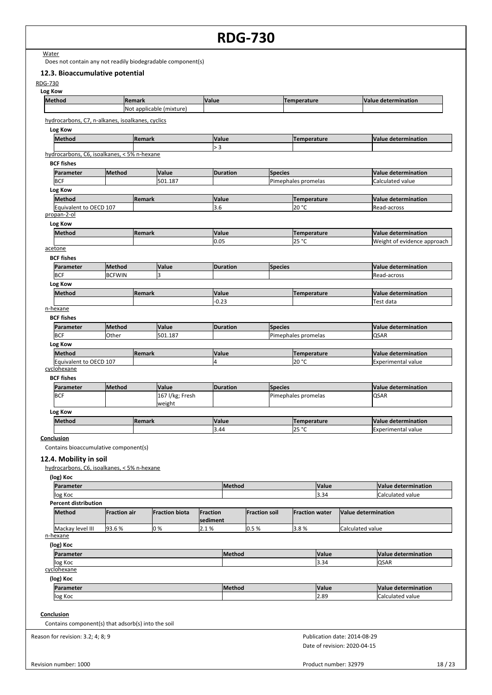**Water** 

Does not contain any not readily biodegradable component(s)

#### **12.3. Bioaccumulative potential**

| <b>Method</b>                                      |                     | Remark        |                          | Value    |                 |                      |                | <b>Temperature</b>    |       |                     | <b>Value determination</b>  |
|----------------------------------------------------|---------------------|---------------|--------------------------|----------|-----------------|----------------------|----------------|-----------------------|-------|---------------------|-----------------------------|
|                                                    |                     |               | Not applicable (mixture) |          |                 |                      |                |                       |       |                     |                             |
| hydrocarbons, C7, n-alkanes, isoalkanes, cyclics   |                     |               |                          |          |                 |                      |                |                       |       |                     |                             |
| Log Kow                                            |                     |               |                          |          |                 |                      |                |                       |       |                     |                             |
| Method                                             |                     | Remark        |                          |          | Value           |                      |                |                       |       |                     |                             |
|                                                    |                     |               |                          | > 3      |                 |                      |                | <b>Temperature</b>    |       |                     | <b>Value determination</b>  |
| hydrocarbons, C6, isoalkanes, < 5% n-hexane        |                     |               |                          |          |                 |                      |                |                       |       |                     |                             |
| <b>BCF fishes</b>                                  |                     |               |                          |          |                 |                      |                |                       |       |                     |                             |
| Parameter                                          | Method              |               | Value                    |          | <b>Duration</b> |                      | <b>Species</b> |                       |       |                     | <b>Value determination</b>  |
| <b>BCF</b>                                         |                     |               | 501.187                  |          |                 |                      |                | Pimephales promelas   |       |                     | Calculated value            |
| Log Kow                                            |                     |               |                          |          |                 |                      |                |                       |       |                     |                             |
| Method                                             |                     | Remark        |                          |          | Value           |                      |                | <b>Temperature</b>    |       |                     | <b>Value determination</b>  |
| Equivalent to OECD 107                             |                     |               |                          | 3.6      |                 |                      |                | 20 °C                 |       |                     | Read-across                 |
| propan-2-ol                                        |                     |               |                          |          |                 |                      |                |                       |       |                     |                             |
| Log Kow                                            |                     |               |                          |          |                 |                      |                |                       |       |                     |                             |
| Method                                             |                     | Remark        |                          |          | Value           |                      |                | <b>Temperature</b>    |       |                     | <b>Value determination</b>  |
|                                                    |                     |               |                          |          | 0.05            |                      |                | 25 °C                 |       |                     | Weight of evidence approach |
| acetone                                            |                     |               |                          |          |                 |                      |                |                       |       |                     |                             |
| <b>BCF fishes</b>                                  |                     |               |                          |          |                 |                      |                |                       |       |                     |                             |
| Parameter                                          | Method              |               | Value                    |          | <b>Duration</b> |                      | <b>Species</b> |                       |       |                     | <b>Value determination</b>  |
| <b>BCF</b>                                         | <b>BCFWIN</b>       |               | 3                        |          |                 |                      |                |                       |       |                     | Read-across                 |
| Log Kow                                            |                     |               |                          |          |                 |                      |                |                       |       |                     |                             |
| Method                                             |                     | <b>Remark</b> |                          |          | Value           |                      |                | Temperature           |       |                     | <b>Value determination</b>  |
| n-hexane                                           |                     |               |                          |          | $-0.23$         |                      |                |                       |       |                     | Test data                   |
| <b>BCF fishes</b>                                  |                     |               |                          |          |                 |                      |                |                       |       |                     |                             |
| Parameter                                          | Method              |               | Value                    |          | <b>Duration</b> |                      | <b>Species</b> |                       |       |                     | <b>Value determination</b>  |
| <b>BCF</b>                                         | Other               |               | 501.187                  |          |                 |                      |                | Pimephales promelas   |       |                     | QSAR                        |
| Log Kow                                            |                     |               |                          |          |                 |                      |                |                       |       |                     |                             |
| <b>Method</b>                                      |                     | <b>Remark</b> |                          |          | Value           |                      |                | <b>Temperature</b>    |       |                     | <b>Value determination</b>  |
| Equivalent to OECD 107                             |                     |               |                          | 4        |                 |                      |                | 20 °C                 |       |                     | <b>Experimental value</b>   |
| cyclohexane                                        |                     |               |                          |          |                 |                      |                |                       |       |                     |                             |
| <b>BCF fishes</b>                                  |                     |               |                          |          |                 |                      |                |                       |       |                     |                             |
| Parameter                                          | Method              |               | Value                    |          | <b>Duration</b> |                      | <b>Species</b> |                       |       |                     | <b>Value determination</b>  |
| <b>BCF</b>                                         |                     |               | 167 l/kg; Fresh          |          |                 |                      |                | Pimephales promelas   |       |                     | <b>QSAR</b>                 |
|                                                    |                     |               | weight                   |          |                 |                      |                |                       |       |                     |                             |
| Log Kow                                            |                     |               |                          |          |                 |                      |                |                       |       |                     |                             |
| <b>Method</b>                                      |                     | Remark        |                          |          | Value           |                      |                | <b>Temperature</b>    |       |                     | <b>Value determination</b>  |
|                                                    |                     |               |                          |          | 3.44            |                      |                | 25 °C                 |       |                     | <b>Experimental value</b>   |
|                                                    |                     |               |                          |          |                 |                      |                |                       |       |                     |                             |
| Conclusion                                         |                     |               |                          |          |                 |                      |                |                       |       |                     |                             |
| Contains bioaccumulative component(s)              |                     |               |                          |          |                 |                      |                |                       |       |                     |                             |
| 12.4. Mobility in soil                             |                     |               |                          |          |                 |                      |                |                       |       |                     |                             |
| hydrocarbons, C6, isoalkanes, < 5% n-hexane        |                     |               |                          |          |                 |                      |                |                       |       |                     |                             |
| (log) Koc                                          |                     |               |                          |          |                 |                      |                |                       |       |                     |                             |
| Parameter                                          |                     |               |                          |          | Method          |                      |                |                       | Value |                     | <b>Value determination</b>  |
| log Koc                                            |                     |               |                          |          |                 |                      |                |                       | 3.34  |                     | Calculated value            |
| <b>Percent distribution</b>                        |                     |               |                          |          |                 |                      |                |                       |       |                     |                             |
| Method                                             | <b>Fraction air</b> |               | <b>Fraction biota</b>    | Fraction |                 | <b>Fraction soil</b> |                | <b>Fraction water</b> |       | Value determination |                             |
|                                                    |                     |               |                          | sediment |                 |                      |                |                       |       |                     |                             |
| Mackay level III                                   | 93.6%               |               | lo %                     | 2.1%     |                 | 0.5%                 |                | 3.8%                  |       | Calculated value    |                             |
| n-hexane                                           |                     |               |                          |          |                 |                      |                |                       |       |                     |                             |
| (log) Koc                                          |                     |               |                          |          |                 |                      |                |                       |       |                     |                             |
| Parameter                                          |                     |               |                          |          | Method          |                      |                |                       | Value |                     | <b>Value determination</b>  |
| log Koc                                            |                     |               |                          |          |                 |                      |                |                       | 3.34  |                     | QSAR                        |
| cyclohexane                                        |                     |               |                          |          |                 |                      |                |                       |       |                     |                             |
| (log) Koc                                          |                     |               |                          |          |                 |                      |                |                       |       |                     |                             |
| Parameter                                          |                     |               |                          |          | Method          |                      |                |                       | Value |                     | <b>Value determination</b>  |
| log Koc                                            |                     |               |                          |          |                 |                      |                |                       | 2.89  |                     | Calculated value            |
|                                                    |                     |               |                          |          |                 |                      |                |                       |       |                     |                             |
| Conclusion                                         |                     |               |                          |          |                 |                      |                |                       |       |                     |                             |
| Contains component(s) that adsorb(s) into the soil |                     |               |                          |          |                 |                      |                |                       |       |                     |                             |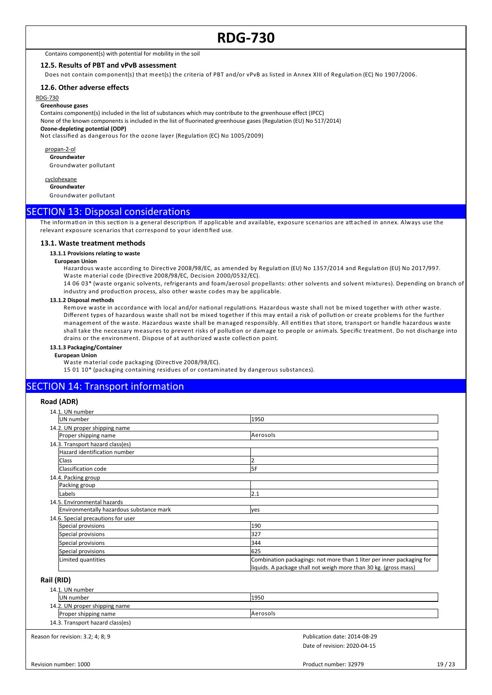Contains component(s) with potential for mobility in the soil

#### **12.5. Results of PBT and vPvB assessment**

Does not contain component(s) that meet(s) the criteria of PBT and/or vPvB as listed in Annex XIII of Regulation (EC) No 1907/2006.

#### **12.6. Other adverse effects**

RDG-730

#### **Greenhouse gases**

Contains component(s) included in the list of substances which may contribute to the greenhouse effect (IPCC) None of the known components is included in the list of fluorinated greenhouse gases (Regulation (EU) No 517/2014)

**Ozone-depleting potential (ODP)**

Not classified as dangerous for the ozone layer (Regulation (EC) No 1005/2009)

propan-2-ol **Groundwater** Groundwater pollutant

cyclohexane **Groundwater**

Groundwater pollutant

#### SECTION 13: Disposal considerations

The information in this section is a general description. If applicable and available, exposure scenarios are attached in annex. Always use the relevant exposure scenarios that correspond to your identified use.

#### **13.1. Waste treatment methods**

#### **13.1.1 Provisions relating to waste**

#### **European Union**

Hazardous waste according to Directive 2008/98/EC, as amended by Regulation (EU) No 1357/2014 and Regulation (EU) No 2017/997. Waste material code (Directive 2008/98/EC, Decision 2000/0532/EC).

14 06 03\* (waste organic solvents, refrigerants and foam/aerosol propellants: other solvents and solvent mixtures). Depending on branch of industry and production process, also other waste codes may be applicable.

#### **13.1.2 Disposal methods**

Remove waste in accordance with local and/or national regulations. Hazardous waste shall not be mixed together with other waste. Different types of hazardous waste shall not be mixed together if this may entail a risk of pollution or create problems for the further management of the waste. Hazardous waste shall be managed responsibly. All entities that store, transport or handle hazardous waste shall take the necessary measures to prevent risks of pollution or damage to people or animals. Specific treatment. Do not discharge into drains or the environment. Dispose of at authorized waste collection point.

#### **13.1.3 Packaging/Container**

**European Union**

Waste material code packaging (Directive 2008/98/EC).

15 01 10\* (packaging containing residues of or contaminated by dangerous substances).

### **SECTION 14: Transport information**

#### **Road (ADR)**

| 14.1. UN number                          |                                                                       |
|------------------------------------------|-----------------------------------------------------------------------|
| UN number                                | 1950                                                                  |
| 14.2. UN proper shipping name            |                                                                       |
| Proper shipping name                     | Aerosols                                                              |
| 14.3. Transport hazard class(es)         |                                                                       |
| Hazard identification number             |                                                                       |
| <b>Class</b>                             |                                                                       |
| Classification code                      | 5F                                                                    |
| 14.4. Packing group                      |                                                                       |
| Packing group                            |                                                                       |
| Labels                                   | 2.1                                                                   |
| 14.5. Environmental hazards              |                                                                       |
| Environmentally hazardous substance mark | yes                                                                   |
| 14.6. Special precautions for user       |                                                                       |
| Special provisions                       | 190                                                                   |
| Special provisions                       | 327                                                                   |
| Special provisions                       | 344                                                                   |
| Special provisions                       | 625                                                                   |
| Limited quantities                       | Combination packagings: not more than 1 liter per inner packaging for |
|                                          | liquids. A package shall not weigh more than 30 kg. (gross mass)      |

#### **Rail (RID)**

| 14.1. UN number                  |          |  |
|----------------------------------|----------|--|
| <b>IUN</b> number                | 1950     |  |
| 14.2. UN proper shipping name    |          |  |
| Proper shipping name             | Aerosols |  |
| 14.3. Transport hazard class(es) |          |  |

Reason for revision: 3.2; 4; 8; 9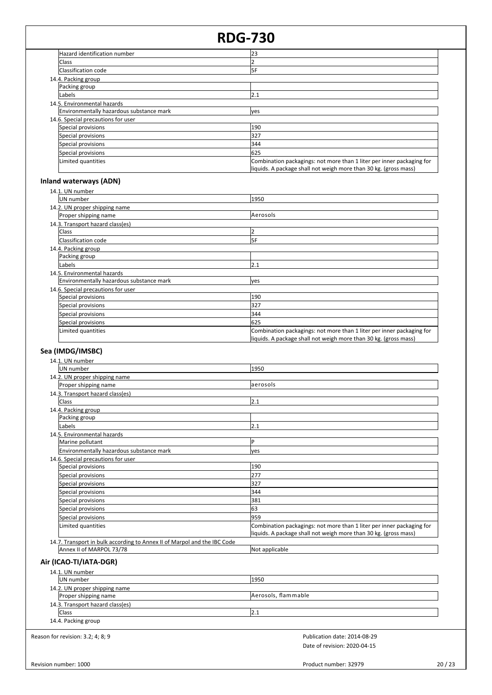### Rev

#### $20/23$

| 327                                                                                                                                       |
|-------------------------------------------------------------------------------------------------------------------------------------------|
| 344                                                                                                                                       |
| 625                                                                                                                                       |
| Combination packagings: not more than 1 liter per inner packaging for                                                                     |
| liquids. A package shall not weigh more than 30 kg. (gross mass)                                                                          |
|                                                                                                                                           |
|                                                                                                                                           |
| 1950                                                                                                                                      |
|                                                                                                                                           |
| aerosols                                                                                                                                  |
|                                                                                                                                           |
| 2.1                                                                                                                                       |
|                                                                                                                                           |
|                                                                                                                                           |
| 2.1                                                                                                                                       |
|                                                                                                                                           |
| IP                                                                                                                                        |
| yes                                                                                                                                       |
|                                                                                                                                           |
| 190                                                                                                                                       |
| 277                                                                                                                                       |
| 327                                                                                                                                       |
| 344                                                                                                                                       |
| 381                                                                                                                                       |
| 63                                                                                                                                        |
| 959                                                                                                                                       |
| Combination packagings: not more than 1 liter per inner packaging for<br>liquids. A package shall not weigh more than 30 kg. (gross mass) |
| 14.7. Transport in bulk according to Annex II of Marpol and the IBC Code                                                                  |
| Not applicable                                                                                                                            |
|                                                                                                                                           |
|                                                                                                                                           |
| 1950                                                                                                                                      |
|                                                                                                                                           |
| Aerosols, flammable                                                                                                                       |
|                                                                                                                                           |
| 2.1                                                                                                                                       |
|                                                                                                                                           |
| Publication date: 2014-08-29                                                                                                              |
| Date of revision: 2020-04-15                                                                                                              |
|                                                                                                                                           |
|                                                                                                                                           |
|                                                                                                                                           |

## **Inland waterways (ADN)**

| 14.1. UN number                          |                                                                                                                                           |  |
|------------------------------------------|-------------------------------------------------------------------------------------------------------------------------------------------|--|
| UN number                                | 1950                                                                                                                                      |  |
| 14.2. UN proper shipping name            |                                                                                                                                           |  |
| Proper shipping name                     | Aerosols                                                                                                                                  |  |
| 14.3. Transport hazard class(es)         |                                                                                                                                           |  |
| Class                                    |                                                                                                                                           |  |
| Classification code                      | 5F                                                                                                                                        |  |
| 14.4. Packing group                      |                                                                                                                                           |  |
| Packing group                            |                                                                                                                                           |  |
| lLabels                                  | 2.1                                                                                                                                       |  |
| 14.5. Environmental hazards              |                                                                                                                                           |  |
| Environmentally hazardous substance mark | ves                                                                                                                                       |  |
| 14.6. Special precautions for user       |                                                                                                                                           |  |
| Special provisions                       | 190                                                                                                                                       |  |
| Special provisions                       | 327                                                                                                                                       |  |
| Special provisions                       | 344                                                                                                                                       |  |
| Special provisions                       | 625                                                                                                                                       |  |
| Limited quantities                       | Combination packagings: not more than 1 liter per inner packaging for<br>liquids. A package shall not weigh more than 30 kg. (gross mass) |  |

|                     | and waterways (ADN)                      |          |
|---------------------|------------------------------------------|----------|
|                     | 14.1. UN number                          |          |
|                     | <b>IUN</b> number                        | 1950     |
|                     | 14.2. UN proper shipping name            |          |
|                     | Proper shipping name                     | Aerosols |
|                     | 14.3. Transport hazard class(es)         |          |
|                     | <b>Class</b>                             |          |
|                     | Classification code                      | l5F      |
| 14.4. Packing group |                                          |          |
|                     | Packing group                            |          |
|                     | Labels                                   | 2.1      |
|                     | 14.5. Environmental hazards              |          |
|                     | Environmentally hazardous substance mark | ves      |
|                     | 14.6. Special precautions for user       |          |
|                     | Special provisions                       | 190      |

Limited quantities Combination packagings: not more than 1 liter per inner packaging for

liquids. A package shall not weigh more than 30 kg. (gross mass)

#### Hazard identification number 23 Class 2016 - 2022 - 2022 - 2022 - 2022 - 2022 - 2022 - 2022 - 2022 - 2023 - 2022 - 2022 - 2023 - 2022 - 2023 -Classification code 5F 14.4. Packing group Packing group Labels 2.1 14.5. Environmental hazards Environmentally hazardous substance mark yes 14.6. Special precautions for user Special provisions 190

Special provisions 327 Special provisions 344 Special provisions 625

**RDG-730**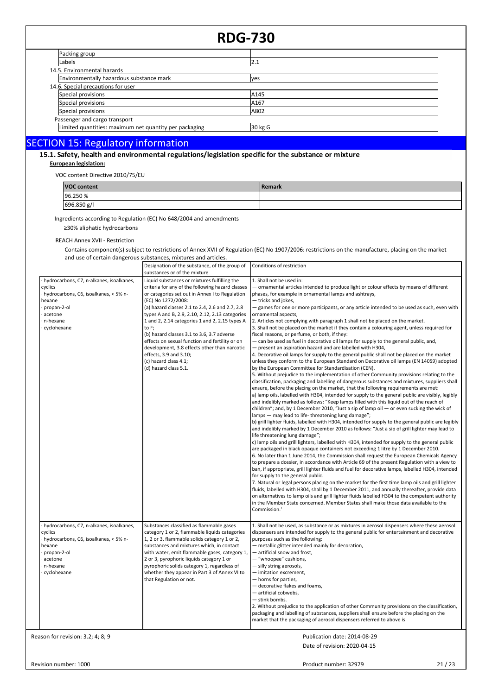| <b>RDG-730</b>                                         |         |  |
|--------------------------------------------------------|---------|--|
| Packing group                                          |         |  |
| Labels                                                 | 2.1     |  |
| 14.5. Environmental hazards                            |         |  |
| Environmentally hazardous substance mark               | ves     |  |
| 14.6. Special precautions for user                     |         |  |
| Special provisions                                     | A145    |  |
| Special provisions                                     | A167    |  |
| Special provisions                                     | A802    |  |
| Passenger and cargo transport                          |         |  |
| Limited quantities: maximum net quantity per packaging | 30 kg G |  |

# SECTION 15: Regulatory information<br>15.1. Safety, health and environmental regulations/legislation specific for the substance or mixture

#### **European legislation:**

VOC content Directive 2010/75/EU

| <b>VOC content</b> | l Remark |
|--------------------|----------|
| 96.250 %           |          |
| 696.850 g/l        |          |

Ingredients according to Regulation (EC) No 648/2004 and amendments

≥30% aliphatic hydrocarbons

REACH Annex XVII - Restriction

Contains component(s) subject to restrictions of Annex XVII of Regulation (EC) No 1907/2006: restrictions on the manufacture, placing on the market and use of certain dangerous substances, mixtures and articles.

|                                                                                                                                                               | Designation of the substance, of the group of<br>substances or of the mixture                                                                                                                                                                                                                                                                                                                                                                                                                                                                                         | Conditions of restriction                                                                                                                                                                                                                                                                                                                                                                                                                                                                                                                                                                                                                                                                                                                                                                                                                                                                                                                                                                                                                                                                                                                                                                                                                                                                                                                                                                                                                                                                                                                                                                                                                                                                                                                                                                                                                                                                                                                                                                                                                                                                                                                                                                                                                                                                                                                                                                                                                                                                                                                                                                                                                                                                                                                                                                 |
|---------------------------------------------------------------------------------------------------------------------------------------------------------------|-----------------------------------------------------------------------------------------------------------------------------------------------------------------------------------------------------------------------------------------------------------------------------------------------------------------------------------------------------------------------------------------------------------------------------------------------------------------------------------------------------------------------------------------------------------------------|-------------------------------------------------------------------------------------------------------------------------------------------------------------------------------------------------------------------------------------------------------------------------------------------------------------------------------------------------------------------------------------------------------------------------------------------------------------------------------------------------------------------------------------------------------------------------------------------------------------------------------------------------------------------------------------------------------------------------------------------------------------------------------------------------------------------------------------------------------------------------------------------------------------------------------------------------------------------------------------------------------------------------------------------------------------------------------------------------------------------------------------------------------------------------------------------------------------------------------------------------------------------------------------------------------------------------------------------------------------------------------------------------------------------------------------------------------------------------------------------------------------------------------------------------------------------------------------------------------------------------------------------------------------------------------------------------------------------------------------------------------------------------------------------------------------------------------------------------------------------------------------------------------------------------------------------------------------------------------------------------------------------------------------------------------------------------------------------------------------------------------------------------------------------------------------------------------------------------------------------------------------------------------------------------------------------------------------------------------------------------------------------------------------------------------------------------------------------------------------------------------------------------------------------------------------------------------------------------------------------------------------------------------------------------------------------------------------------------------------------------------------------------------------------|
| hydrocarbons, C7, n-alkanes, isoalkanes,<br>cyclics<br>- hydrocarbons, C6, isoalkanes, < 5% n-<br>hexane<br>propan-2-ol<br>acetone<br>n-hexane<br>cyclohexane | Liquid substances or mixtures fulfilling the<br>criteria for any of the following hazard classes<br>or categories set out in Annex I to Regulation<br>(EC) No 1272/2008:<br>(a) hazard classes 2.1 to 2.4, 2.6 and 2.7, 2.8<br>types A and B, 2.9, 2.10, 2.12, 2.13 categories<br>1 and 2, 2.14 categories 1 and 2, 2.15 types A<br>to F;<br>(b) hazard classes 3.1 to 3.6, 3.7 adverse<br>effects on sexual function and fertility or on<br>development, 3.8 effects other than narcotic<br>effects, 3.9 and 3.10;<br>(c) hazard class 4.1;<br>(d) hazard class 5.1. | 1. Shall not be used in:<br>- ornamental articles intended to produce light or colour effects by means of different<br>phases, for example in ornamental lamps and ashtrays,<br>- tricks and jokes,<br>- games for one or more participants, or any article intended to be used as such, even with<br>ornamental aspects,<br>2. Articles not complying with paragraph 1 shall not be placed on the market.<br>3. Shall not be placed on the market if they contain a colouring agent, unless required for<br>fiscal reasons, or perfume, or both, if they:<br>- can be used as fuel in decorative oil lamps for supply to the general public, and,<br>- present an aspiration hazard and are labelled with H304,<br>4. Decorative oil lamps for supply to the general public shall not be placed on the market<br>unless they conform to the European Standard on Decorative oil lamps (EN 14059) adopted<br>by the European Committee for Standardisation (CEN).<br>5. Without prejudice to the implementation of other Community provisions relating to the<br>classification, packaging and labelling of dangerous substances and mixtures, suppliers shall<br>ensure, before the placing on the market, that the following requirements are met:<br>a) lamp oils, labelled with H304, intended for supply to the general public are visibly, legibly<br>and indelibly marked as follows: "Keep lamps filled with this liquid out of the reach of<br>children"; and, by 1 December 2010, "Just a sip of lamp oil $-$ or even sucking the wick of<br>lamps - may lead to life-threatening lung damage";<br>b) grill lighter fluids, labelled with H304, intended for supply to the general public are legibly<br>and indelibly marked by 1 December 2010 as follows: "Just a sip of grill lighter may lead to<br>life threatening lung damage";<br>c) lamp oils and grill lighters, labelled with H304, intended for supply to the general public<br>are packaged in black opaque containers not exceeding 1 litre by 1 December 2010.<br>6. No later than 1 June 2014, the Commission shall request the European Chemicals Agency<br>to prepare a dossier, in accordance with Article 69 of the present Regulation with a view to<br>ban, if appropriate, grill lighter fluids and fuel for decorative lamps, labelled H304, intended<br>for supply to the general public.<br>7. Natural or legal persons placing on the market for the first time lamp oils and grill lighter<br>fluids, labelled with H304, shall by 1 December 2011, and annually thereafter, provide data<br>on alternatives to lamp oils and grill lighter fluids labelled H304 to the competent authority<br>in the Member State concerned. Member States shall make those data available to the<br>Commission.' |
| hydrocarbons, C7, n-alkanes, isoalkanes,<br>cyclics<br>- hydrocarbons, C6, isoalkanes, < 5% n-<br>hexane<br>propan-2-ol<br>acetone<br>n-hexane<br>cyclohexane | Substances classified as flammable gases<br>category 1 or 2, flammable liquids categories<br>1, 2 or 3, flammable solids category 1 or 2,<br>substances and mixtures which, in contact<br>with water, emit flammable gases, category 1,<br>2 or 3, pyrophoric liquids category 1 or<br>pyrophoric solids category 1, regardless of<br>whether they appear in Part 3 of Annex VI to<br>that Regulation or not.                                                                                                                                                         | 1. Shall not be used, as substance or as mixtures in aerosol dispensers where these aerosol<br>dispensers are intended for supply to the general public for entertainment and decorative<br>purposes such as the following:<br>- metallic glitter intended mainly for decoration,<br>— artificial snow and frost,<br>- "whoopee" cushions,<br>- silly string aerosols,<br>- imitation excrement,<br>- horns for parties,<br>- decorative flakes and foams,<br>- artificial cobwebs,<br>- stink bombs.<br>2. Without prejudice to the application of other Community provisions on the classification,<br>packaging and labelling of substances, suppliers shall ensure before the placing on the<br>market that the packaging of aerosol dispensers referred to above is                                                                                                                                                                                                                                                                                                                                                                                                                                                                                                                                                                                                                                                                                                                                                                                                                                                                                                                                                                                                                                                                                                                                                                                                                                                                                                                                                                                                                                                                                                                                                                                                                                                                                                                                                                                                                                                                                                                                                                                                                  |
| Reason for revision: 3.2; 4; 8; 9                                                                                                                             |                                                                                                                                                                                                                                                                                                                                                                                                                                                                                                                                                                       | Publication date: 2014-08-29                                                                                                                                                                                                                                                                                                                                                                                                                                                                                                                                                                                                                                                                                                                                                                                                                                                                                                                                                                                                                                                                                                                                                                                                                                                                                                                                                                                                                                                                                                                                                                                                                                                                                                                                                                                                                                                                                                                                                                                                                                                                                                                                                                                                                                                                                                                                                                                                                                                                                                                                                                                                                                                                                                                                                              |

Date of revision: 2020-04-15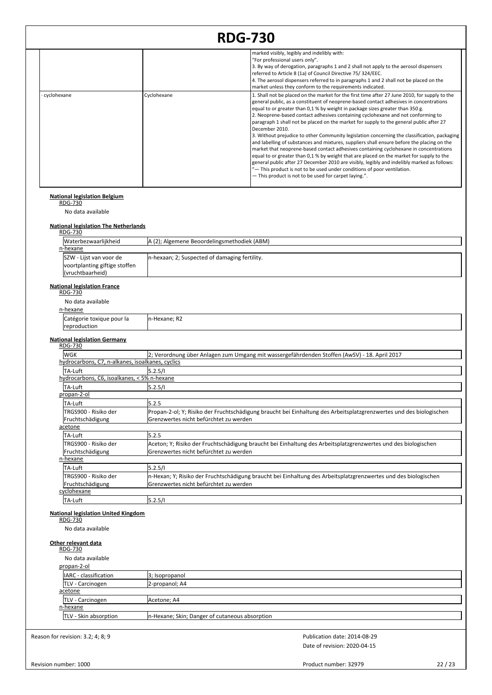|             |             | marked visibly, legibly and indelibly with:<br>"For professional users only".<br>3. By way of derogation, paragraphs 1 and 2 shall not apply to the aerosol dispensers<br>referred to Article 8 (1a) of Council Directive 75/324/EEC.<br>4. The aerosol dispensers referred to in paragraphs 1 and 2 shall not be placed on the<br>market unless they conform to the requirements indicated.                                                                                                                                                                                                                                                                                                                                                                                                                                                                                                                                                                                                                                                                                                    |
|-------------|-------------|-------------------------------------------------------------------------------------------------------------------------------------------------------------------------------------------------------------------------------------------------------------------------------------------------------------------------------------------------------------------------------------------------------------------------------------------------------------------------------------------------------------------------------------------------------------------------------------------------------------------------------------------------------------------------------------------------------------------------------------------------------------------------------------------------------------------------------------------------------------------------------------------------------------------------------------------------------------------------------------------------------------------------------------------------------------------------------------------------|
| cyclohexane | Cyclohexane | 1. Shall not be placed on the market for the first time after 27 June 2010, for supply to the<br>general public, as a constituent of neoprene-based contact adhesives in concentrations<br>equal to or greater than 0,1 % by weight in package sizes greater than 350 g.<br>2. Neoprene-based contact adhesives containing cyclohexane and not conforming to<br>paragraph 1 shall not be placed on the market for supply to the general public after 27<br>December 2010.<br>3. Without prejudice to other Community legislation concerning the classification, packaging<br>and labelling of substances and mixtures, suppliers shall ensure before the placing on the<br>market that neoprene-based contact adhesives containing cyclohexane in concentrations<br>equal to or greater than 0,1 % by weight that are placed on the market for supply to the<br>general public after 27 December 2010 are visibly, legibly and indelibly marked as follows:<br>"- This product is not to be used under conditions of poor ventilation.<br>- This product is not to be used for carpet laying.". |

## **National legislation Belgium** RDG-730

No data available

# **National legislation The Netherlands** RDG-730

| Waterbezwaarlijkheid          | A (2); Algemene Beoordelingsmethodiek (ABM)    |
|-------------------------------|------------------------------------------------|
| n-hexane                      |                                                |
| SZW - Lijst van voor de       | In-hexaan; 2; Suspected of damaging fertility. |
| voortplanting giftige stoffen |                                                |
| (vruchtbaarheid)              |                                                |

## **National legislation France** RDG-730

| . |                  |   |
|---|------------------|---|
| n | <b>CHA</b><br>та | ١ |

| n-hexane |
|----------|
|----------|

| No data available         |               |  |
|---------------------------|---------------|--|
| n-hexane                  |               |  |
| Catégorie toxique pour la | In-Hexane; R2 |  |
| reproduction              |               |  |

#### **National legislation Germany**

| <b>RDG-730</b>                                   |                                                                                                                                                                |
|--------------------------------------------------|----------------------------------------------------------------------------------------------------------------------------------------------------------------|
| WGK                                              | 2; Verordnung über Anlagen zum Umgang mit wassergefährdenden Stoffen (AwSV) - 18. April 2017                                                                   |
| hydrocarbons, C7, n-alkanes, isoalkanes, cyclics |                                                                                                                                                                |
| TA-Luft                                          | 5.2.5/1                                                                                                                                                        |
| hydrocarbons, C6, isoalkanes, < 5% n-hexane      |                                                                                                                                                                |
| lTA-Luft                                         | 5.2.5/1                                                                                                                                                        |
| propan-2-ol                                      |                                                                                                                                                                |
| TA-Luft                                          | 5.2.5                                                                                                                                                          |
| TRGS900 - Risiko der<br>Fruchtschädigung         | Propan-2-ol; Y; Risiko der Fruchtschädigung braucht bei Einhaltung des Arbeitsplatzgrenzwertes und des biologischen<br>lGrenzwertes nicht befürchtet zu werden |
| acetone                                          |                                                                                                                                                                |
| TA-Luft                                          | 5.2.5                                                                                                                                                          |
| TRGS900 - Risiko der                             | Aceton; Y; Risiko der Fruchtschädigung braucht bei Einhaltung des Arbeitsplatzgrenzwertes und des biologischen                                                 |
| Fruchtschädigung                                 | lGrenzwertes nicht befürchtet zu werden                                                                                                                        |
| n-hexane                                         |                                                                                                                                                                |
| TA-Luft                                          | 5.2.5/1                                                                                                                                                        |
| TRGS900 - Risiko der                             | n-Hexan; Y; Risiko der Fruchtschädigung braucht bei Einhaltung des Arbeitsplatzgrenzwertes und des biologischen                                                |
| Fruchtschädigung                                 | lGrenzwertes nicht befürchtet zu werden                                                                                                                        |
| cyclohexane                                      |                                                                                                                                                                |
| TA-Luft                                          | 5.2.5/1                                                                                                                                                        |

## **National legislation United Kingdom** RDG-730

No data available

**Other relevant data** RDG-730 No data available propan-2-ol IARC - classification | 3; Isopropanol TLV - Carcinogen **2-propanol**; A4 acetone TLV - Carcinogen **Acetone**; A4

|                                           | · Carcinogen                                    | Acetone: A4 |  |
|-------------------------------------------|-------------------------------------------------|-------------|--|
|                                           |                                                 |             |  |
| n-hexane<br><b>ITLV - Skin absorption</b> | In-Hexane; Skin; Danger of cutaneous absorption |             |  |

Reason for revision: 3.2; 4; 8; 9